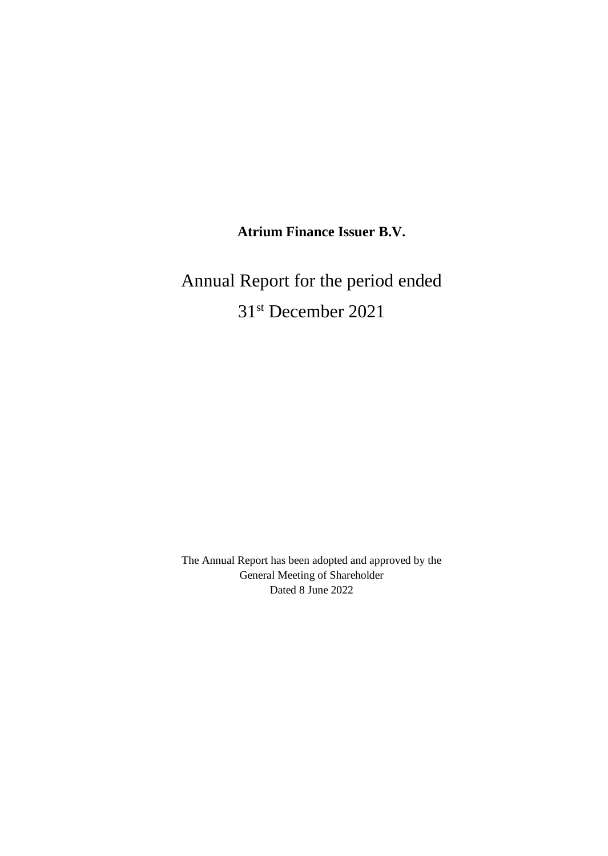# **Atrium Finance Issuer B.V.**

# Annual Report for the period ended 31st December 2021

The Annual Report has been adopted and approved by the General Meeting of Shareholder Dated 8 June 2022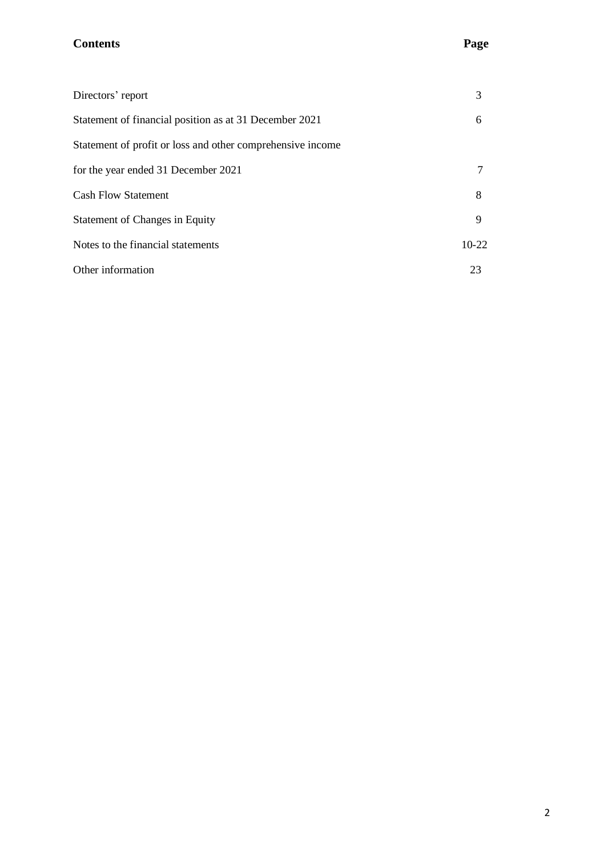# **Contents Page**

| Directors' report                                          | 3       |
|------------------------------------------------------------|---------|
| Statement of financial position as at 31 December 2021     | 6       |
| Statement of profit or loss and other comprehensive income |         |
| for the year ended 31 December 2021                        |         |
| <b>Cash Flow Statement</b>                                 | 8       |
| Statement of Changes in Equity                             | 9       |
| Notes to the financial statements                          | $10-22$ |
| Other information                                          | 23      |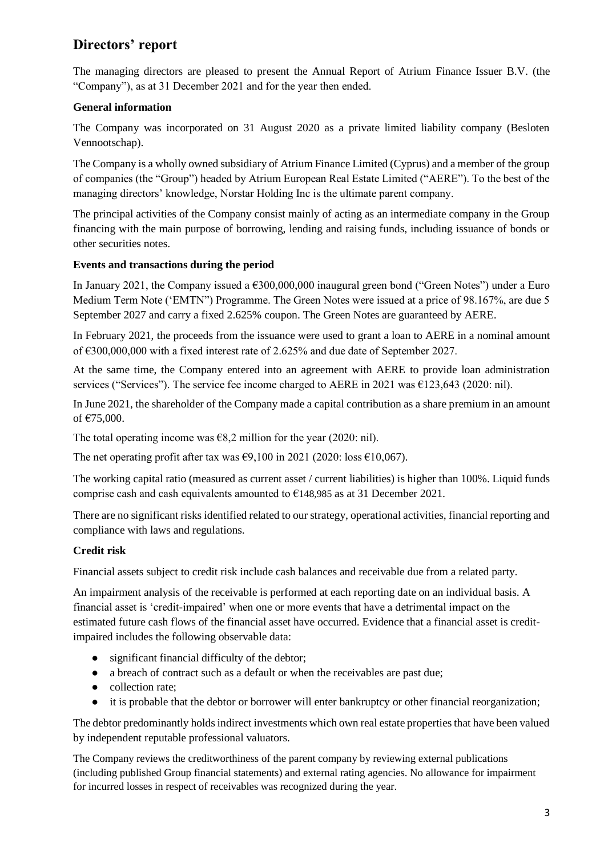# **Directors' report**

The managing directors are pleased to present the Annual Report of Atrium Finance Issuer B.V. (the "Company"), as at 31 December 2021 and for the year then ended.

#### **General information**

The Company was incorporated on 31 August 2020 as a private limited liability company (Besloten Vennootschap).

The Company is a wholly owned subsidiary of Atrium Finance Limited (Cyprus) and a member of the group of companies (the "Group") headed by Atrium European Real Estate Limited ("AERE"). To the best of the managing directors' knowledge, Norstar Holding Inc is the ultimate parent company.

The principal activities of the Company consist mainly of acting as an intermediate company in the Group financing with the main purpose of borrowing, lending and raising funds, including issuance of bonds or other securities notes.

#### **Events and transactions during the period**

In January 2021, the Company issued a  $\epsilon$ 300,000,000 inaugural green bond ("Green Notes") under a Euro Medium Term Note ('EMTN") Programme. The Green Notes were issued at a price of 98.167%, are due 5 September 2027 and carry a fixed 2.625% coupon. The Green Notes are guaranteed by AERE.

In February 2021, the proceeds from the issuance were used to grant a loan to AERE in a nominal amount of €300,000,000 with a fixed interest rate of 2.625% and due date of September 2027.

At the same time, the Company entered into an agreement with AERE to provide loan administration services ("Services"). The service fee income charged to AERE in 2021 was €123,643 (2020: nil).

In June 2021, the shareholder of the Company made a capital contribution as a share premium in an amount of €75,000.

The total operating income was  $\epsilon$ 8,2 million for the year (2020: nil).

The net operating profit after tax was  $\epsilon$ 9,100 in 2021 (2020: loss  $\epsilon$ 10,067).

The working capital ratio (measured as current asset / current liabilities) is higher than 100%. Liquid funds comprise cash and cash equivalents amounted to  $\epsilon$ 148,985 as at 31 December 2021.

There are no significant risks identified related to our strategy, operational activities, financial reporting and compliance with laws and regulations.

#### **Credit risk**

Financial assets subject to credit risk include cash balances and receivable due from a related party.

An impairment analysis of the receivable is performed at each reporting date on an individual basis. A financial asset is 'credit-impaired' when one or more events that have a detrimental impact on the estimated future cash flows of the financial asset have occurred. Evidence that a financial asset is creditimpaired includes the following observable data:

- significant financial difficulty of the debtor;
- a breach of contract such as a default or when the receivables are past due;
- collection rate;
- it is probable that the debtor or borrower will enter bankruptcy or other financial reorganization;

The debtor predominantly holds indirect investments which own real estate properties that have been valued by independent reputable professional valuators.

The Company reviews the creditworthiness of the parent company by reviewing external publications (including published Group financial statements) and external rating agencies. No allowance for impairment for incurred losses in respect of receivables was recognized during the year.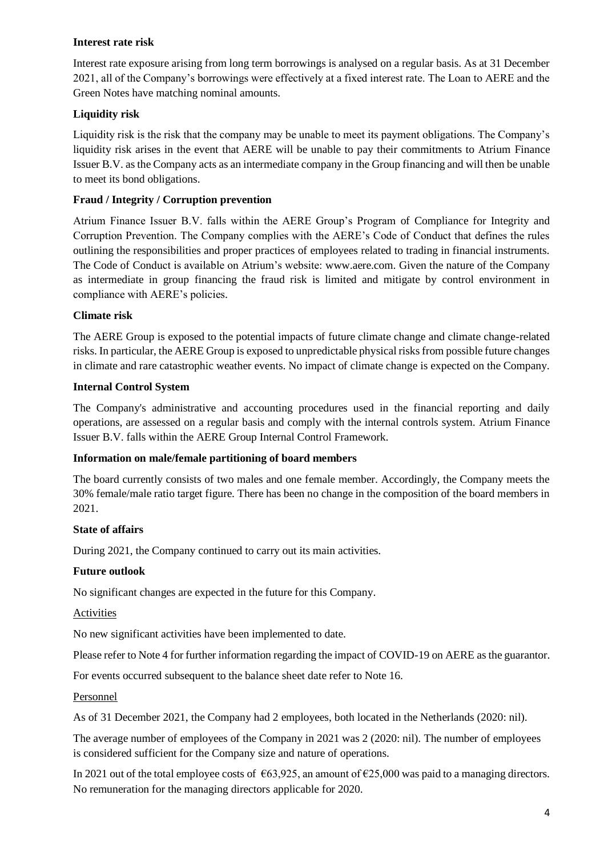#### **Interest rate risk**

Interest rate exposure arising from long term borrowings is analysed on a regular basis. As at 31 December 2021, all of the Company's borrowings were effectively at a fixed interest rate. The Loan to AERE and the Green Notes have matching nominal amounts.

#### **Liquidity risk**

Liquidity risk is the risk that the company may be unable to meet its payment obligations. The Company's liquidity risk arises in the event that AERE will be unable to pay their commitments to Atrium Finance Issuer B.V. as the Company acts as an intermediate company in the Group financing and will then be unable to meet its bond obligations.

#### **Fraud / Integrity / Corruption prevention**

Atrium Finance Issuer B.V. falls within the AERE Group's Program of Compliance for Integrity and Corruption Prevention. The Company complies with the AERE's Code of Conduct that defines the rules outlining the responsibilities and proper practices of employees related to trading in financial instruments. The Code of Conduct is available on Atrium's website: [www.aere.com.](http://www.aere.com/) Given the nature of the Company as intermediate in group financing the fraud risk is limited and mitigate by control environment in compliance with AERE's policies.

#### **Climate risk**

The AERE Group is exposed to the potential impacts of future climate change and climate change-related risks. In particular, the AERE Group is exposed to unpredictable physical risks from possible future changes in climate and rare catastrophic weather events. No impact of climate change is expected on the Company.

#### **Internal Control System**

The Company's administrative and accounting procedures used in the financial reporting and daily operations, are assessed on a regular basis and comply with the internal controls system. Atrium Finance Issuer B.V. falls within the AERE Group Internal Control Framework.

#### **Information on male/female partitioning of board members**

The board currently consists of two males and one female member. Accordingly, the Company meets the 30% female/male ratio target figure. There has been no change in the composition of the board members in 2021.

#### **State of affairs**

During 2021, the Company continued to carry out its main activities.

#### **Future outlook**

No significant changes are expected in the future for this Company.

#### **Activities**

No new significant activities have been implemented to date.

Please refer to Note 4 for further information regarding the impact of COVID-19 on AERE as the guarantor.

For events occurred subsequent to the balance sheet date refer to Note 16.

#### Personnel

As of 31 December 2021, the Company had 2 employees, both located in the Netherlands (2020: nil).

The average number of employees of the Company in 2021 was 2 (2020: nil). The number of employees is considered sufficient for the Company size and nature of operations.

In 2021 out of the total employee costs of  $\epsilon$ 63,925, an amount of  $\epsilon$ 25,000 was paid to a managing directors. No remuneration for the managing directors applicable for 2020.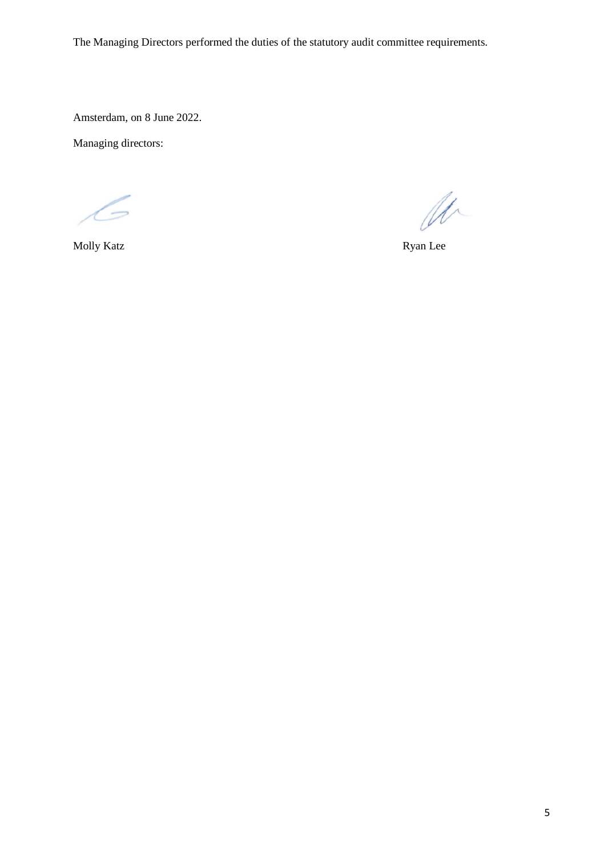The Managing Directors performed the duties of the statutory audit committee requirements.

Amsterdam, on 8 June 2022.

Managing directors:

 $\overline{\phantom{a}}$ 

 $\mathscr{U}$ 

Molly Katz Ryan Lee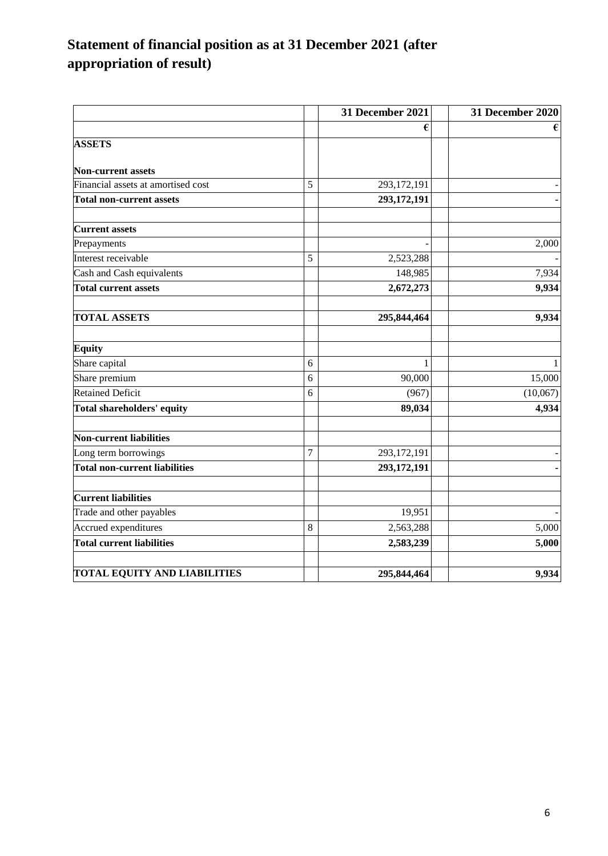# **Statement of financial position as at 31 December 2021 (after appropriation of result)**

|                                      |                | 31 December 2021 | 31 December 2020 |
|--------------------------------------|----------------|------------------|------------------|
|                                      |                |                  | €                |
| <b>ASSETS</b>                        |                |                  |                  |
| <b>Non-current assets</b>            |                |                  |                  |
| Financial assets at amortised cost   | 5              | 293,172,191      |                  |
| <b>Total non-current assets</b>      |                | 293,172,191      |                  |
| <b>Current assets</b>                |                |                  |                  |
| Prepayments                          |                |                  | 2,000            |
| Interest receivable                  | 5              | 2,523,288        |                  |
| Cash and Cash equivalents            |                | 148,985          | 7,934            |
| <b>Total current assets</b>          |                | 2,672,273        | 9,934            |
| <b>TOTAL ASSETS</b>                  |                | 295,844,464      | 9,934            |
| <b>Equity</b>                        |                |                  |                  |
| Share capital                        | $\sqrt{6}$     | 1                |                  |
| Share premium                        | 6              | 90,000           | 15,000           |
| <b>Retained Deficit</b>              | 6              | (967)            | (10,067)         |
| Total shareholders' equity           |                | 89,034           | 4,934            |
| Non-current liabilities              |                |                  |                  |
| Long term borrowings                 | $\overline{7}$ | 293,172,191      |                  |
| <b>Total non-current liabilities</b> |                | 293,172,191      |                  |
| <b>Current liabilities</b>           |                |                  |                  |
| Trade and other payables             |                | 19,951           |                  |
| Accrued expenditures                 | 8              | 2,563,288        | 5,000            |
| <b>Total current liabilities</b>     |                | 2,583,239        | 5,000            |
| TOTAL EQUITY AND LIABILITIES         |                | 295,844,464      | 9,934            |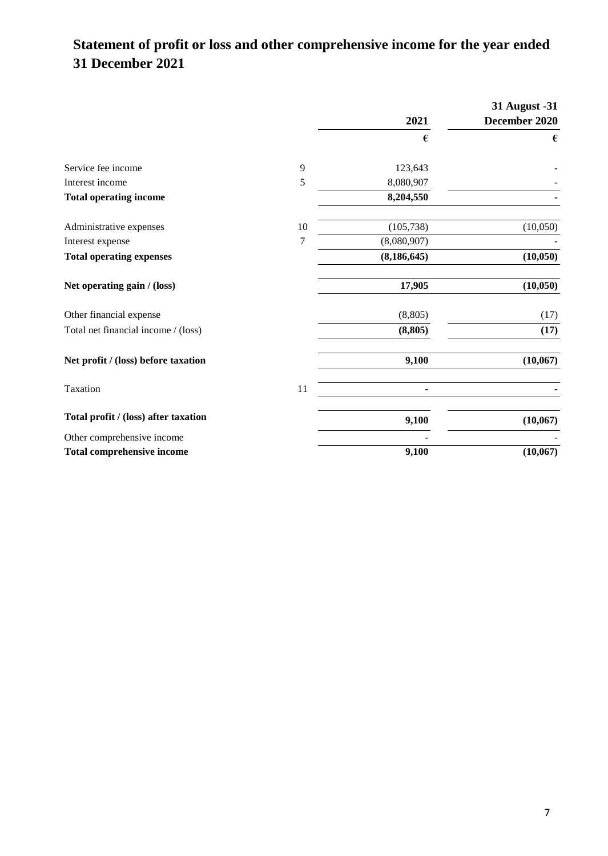# **Statement of profit or loss and other comprehensive income for the year ended 31 December 2021**

|                                      |    |               | 31 August -31 |
|--------------------------------------|----|---------------|---------------|
|                                      |    | 2021          | December 2020 |
|                                      |    | €             | €             |
| Service fee income                   | 9  | 123,643       |               |
| Interest income                      | 5  | 8,080,907     |               |
| <b>Total operating income</b>        |    | 8,204,550     |               |
| Administrative expenses              | 10 | (105, 738)    | (10,050)      |
| Interest expense                     | 7  | (8,080,907)   |               |
| <b>Total operating expenses</b>      |    | (8, 186, 645) | (10, 050)     |
| Net operating gain / (loss)          |    | 17,905        | (10, 050)     |
| Other financial expense              |    | (8, 805)      | (17)          |
| Total net financial income / (loss)  |    | (8, 805)      | (17)          |
| Net profit / (loss) before taxation  |    | 9,100         | (10, 067)     |
| Taxation                             | 11 |               |               |
| Total profit / (loss) after taxation |    | 9,100         | (10, 067)     |
| Other comprehensive income           |    |               |               |
| <b>Total comprehensive income</b>    |    | 9,100         | (10,067)      |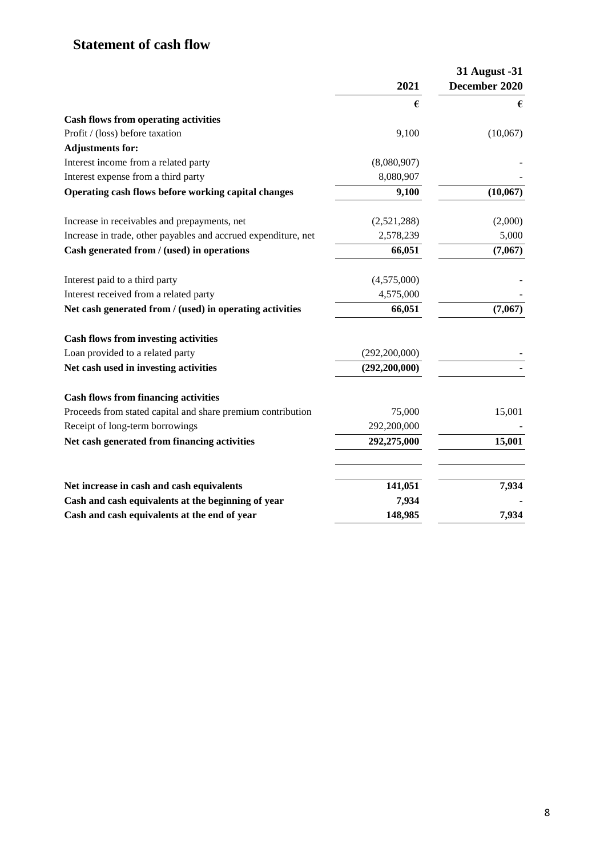# **Statement of cash flow**

|                                                                | 2021            | 31 August -31<br>December 2020 |
|----------------------------------------------------------------|-----------------|--------------------------------|
|                                                                | €               | €                              |
| <b>Cash flows from operating activities</b>                    |                 |                                |
| Profit / (loss) before taxation                                | 9,100           | (10,067)                       |
| <b>Adjustments for:</b>                                        |                 |                                |
| Interest income from a related party                           | (8,080,907)     |                                |
| Interest expense from a third party                            | 8,080,907       |                                |
| Operating cash flows before working capital changes            | 9,100           | (10,067)                       |
| Increase in receivables and prepayments, net                   | (2,521,288)     | (2,000)                        |
| Increase in trade, other payables and accrued expenditure, net | 2,578,239       | 5,000                          |
| Cash generated from / (used) in operations                     | 66,051          | (7,067)                        |
| Interest paid to a third party                                 | (4,575,000)     |                                |
| Interest received from a related party                         | 4,575,000       |                                |
| Net cash generated from / (used) in operating activities       | 66,051          | (7,067)                        |
| <b>Cash flows from investing activities</b>                    |                 |                                |
| Loan provided to a related party                               | (292, 200, 000) |                                |
| Net cash used in investing activities                          | (292, 200, 000) |                                |
| <b>Cash flows from financing activities</b>                    |                 |                                |
| Proceeds from stated capital and share premium contribution    | 75,000          | 15,001                         |
| Receipt of long-term borrowings                                | 292,200,000     |                                |
| Net cash generated from financing activities                   | 292,275,000     | 15,001                         |
|                                                                |                 |                                |
| Net increase in cash and cash equivalents                      | 141,051         | 7,934                          |
| Cash and cash equivalents at the beginning of year             | 7,934           |                                |
| Cash and cash equivalents at the end of year                   | 148,985         | 7,934                          |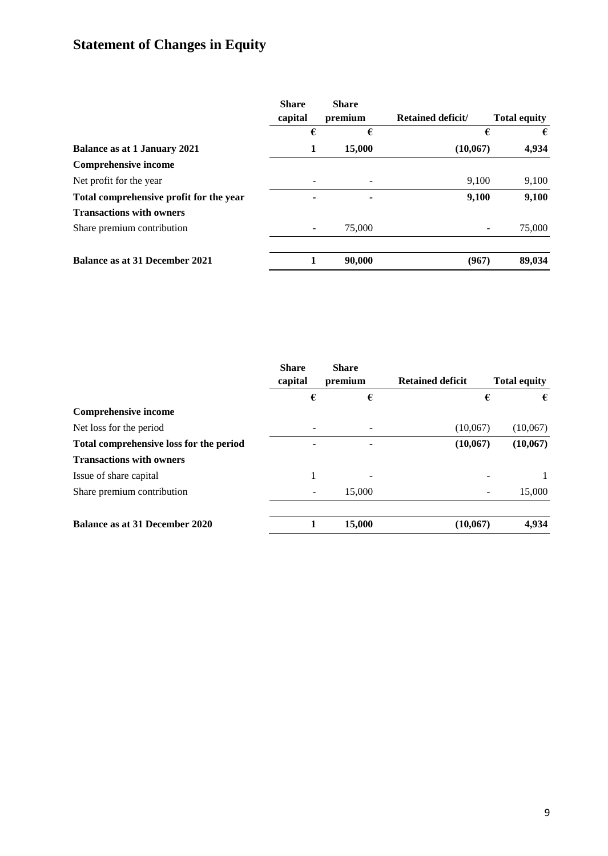# **Statement of Changes in Equity**

|                                         | <b>Share</b><br>capital | <b>Share</b><br>premium  | <b>Retained deficit/</b> | <b>Total equity</b> |
|-----------------------------------------|-------------------------|--------------------------|--------------------------|---------------------|
|                                         | €                       | €                        | €                        | €                   |
| <b>Balance as at 1 January 2021</b>     | 1                       | 15,000                   | (10,067)                 | 4,934               |
| <b>Comprehensive income</b>             |                         |                          |                          |                     |
| Net profit for the year                 |                         |                          | 9,100                    | 9,100               |
| Total comprehensive profit for the year |                         | $\overline{\phantom{a}}$ | 9,100                    | 9,100               |
| <b>Transactions with owners</b>         |                         |                          |                          |                     |
| Share premium contribution              |                         | 75,000                   |                          | 75,000              |
| <b>Balance as at 31 December 2021</b>   |                         | 90,000                   | (967)                    | 89,034              |

| <b>Share</b><br>capital | <b>Share</b><br>premium | <b>Retained deficit</b> | <b>Total equity</b> |
|-------------------------|-------------------------|-------------------------|---------------------|
| €                       | €                       | €                       | €                   |
|                         |                         |                         |                     |
|                         |                         | (10,067)                | (10,067)            |
|                         | ٠                       | (10,067)                | (10,067)            |
|                         |                         |                         |                     |
|                         |                         |                         |                     |
|                         | 15,000                  |                         | 15,000              |
|                         | 15,000                  | (10, 067)               | 4,934               |
|                         |                         |                         |                     |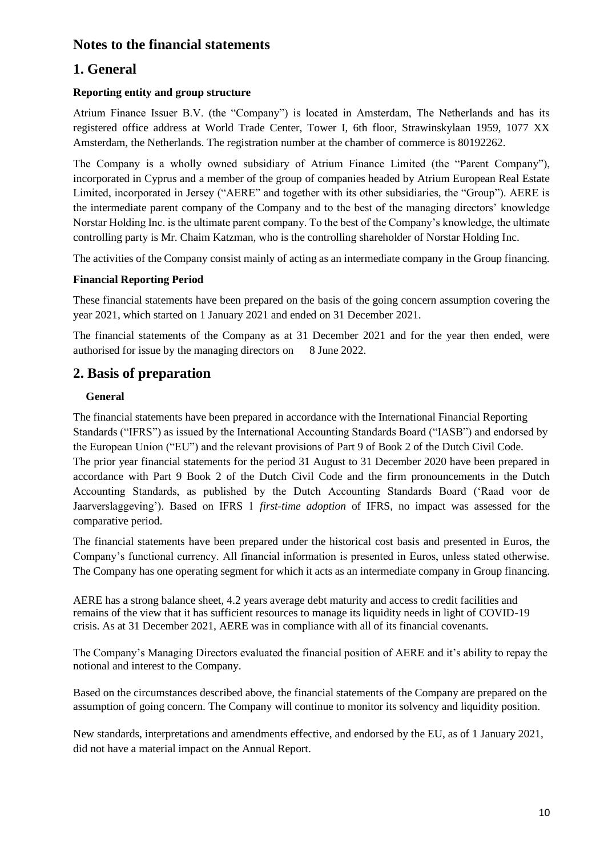# **Notes to the financial statements**

# **1. General**

#### **Reporting entity and group structure**

Atrium Finance Issuer B.V. (the "Company") is located in Amsterdam, The Netherlands and has its registered office address at World Trade Center, Tower I, 6th floor, Strawinskylaan 1959, 1077 XX Amsterdam, the Netherlands. The registration number at the chamber of commerce is 80192262.

The Company is a wholly owned subsidiary of Atrium Finance Limited (the "Parent Company"), incorporated in Cyprus and a member of the group of companies headed by Atrium European Real Estate Limited, incorporated in Jersey ("AERE" and together with its other subsidiaries, the "Group"). AERE is the intermediate parent company of the Company and to the best of the managing directors' knowledge Norstar Holding Inc. is the ultimate parent company. To the best of the Company's knowledge, the ultimate controlling party is Mr. Chaim Katzman, who is the controlling shareholder of Norstar Holding Inc.

The activities of the Company consist mainly of acting as an intermediate company in the Group financing.

#### **Financial Reporting Period**

These financial statements have been prepared on the basis of the going concern assumption covering the year 2021, which started on 1 January 2021 and ended on 31 December 2021.

The financial statements of the Company as at 31 December 2021 and for the year then ended, were authorised for issue by the managing directors on 8 June 2022.

# **2. Basis of preparation**

#### **General**

The financial statements have been prepared in accordance with the International Financial Reporting Standards ("IFRS") as issued by the International Accounting Standards Board ("IASB") and endorsed by the European Union ("EU") and the relevant provisions of Part 9 of Book 2 of the Dutch Civil Code. The prior year financial statements for the period 31 August to 31 December 2020 have been prepared in accordance with Part 9 Book 2 of the Dutch Civil Code and the firm pronouncements in the Dutch Accounting Standards, as published by the Dutch Accounting Standards Board ('Raad voor de Jaarverslaggeving'). Based on IFRS 1 *first-time adoption* of IFRS, no impact was assessed for the comparative period.

The financial statements have been prepared under the historical cost basis and presented in Euros, the Company's functional currency. All financial information is presented in Euros, unless stated otherwise. The Company has one operating segment for which it acts as an intermediate company in Group financing.

AERE has a strong balance sheet, 4.2 years average debt maturity and access to credit facilities and remains of the view that it has sufficient resources to manage its liquidity needs in light of COVID-19 crisis. As at 31 December 2021, AERE was in compliance with all of its financial covenants.

The Company's Managing Directors evaluated the financial position of AERE and it's ability to repay the notional and interest to the Company.

Based on the circumstances described above, the financial statements of the Company are prepared on the assumption of going concern. The Company will continue to monitor its solvency and liquidity position.

New standards, interpretations and amendments effective, and endorsed by the EU, as of 1 January 2021, did not have a material impact on the Annual Report.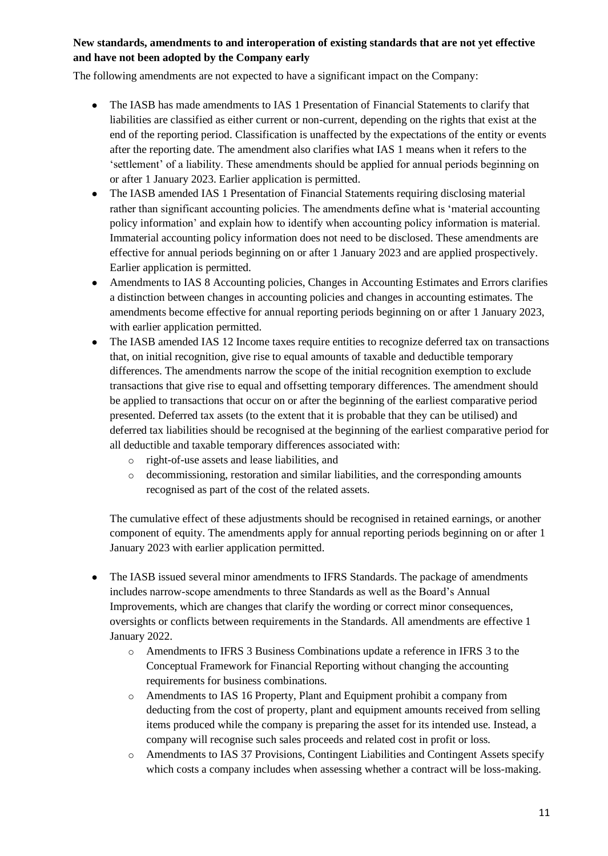#### **New standards, amendments to and interoperation of existing standards that are not yet effective and have not been adopted by the Company early**

The following amendments are not expected to have a significant impact on the Company:

- The IASB has made amendments to IAS 1 Presentation of Financial Statements to clarify that liabilities are classified as either current or non-current, depending on the rights that exist at the end of the reporting period. Classification is unaffected by the expectations of the entity or events after the reporting date. The amendment also clarifies what IAS 1 means when it refers to the 'settlement' of a liability. These amendments should be applied for annual periods beginning on or after 1 January 2023. Earlier application is permitted.
- The IASB amended IAS 1 Presentation of Financial Statements requiring disclosing material rather than significant accounting policies. The amendments define what is 'material accounting policy information' and explain how to identify when accounting policy information is material. Immaterial accounting policy information does not need to be disclosed. These amendments are effective for annual periods beginning on or after 1 January 2023 and are applied prospectively. Earlier application is permitted.
- Amendments to IAS 8 Accounting policies, Changes in Accounting Estimates and Errors clarifies a distinction between changes in accounting policies and changes in accounting estimates. The amendments become effective for annual reporting periods beginning on or after 1 January 2023, with earlier application permitted.
- The IASB amended IAS 12 Income taxes require entities to recognize deferred tax on transactions that, on initial recognition, give rise to equal amounts of taxable and deductible temporary differences. The amendments narrow the scope of the initial recognition exemption to exclude transactions that give rise to equal and offsetting temporary differences. The amendment should be applied to transactions that occur on or after the beginning of the earliest comparative period presented. Deferred tax assets (to the extent that it is probable that they can be utilised) and deferred tax liabilities should be recognised at the beginning of the earliest comparative period for all deductible and taxable temporary differences associated with:
	- o right-of-use assets and lease liabilities, and
	- o decommissioning, restoration and similar liabilities, and the corresponding amounts recognised as part of the cost of the related assets.

The cumulative effect of these adjustments should be recognised in retained earnings, or another component of equity. The amendments apply for annual reporting periods beginning on or after 1 January 2023 with earlier application permitted.

- The IASB issued several minor amendments to IFRS Standards. The package of amendments includes narrow-scope amendments to three Standards as well as the Board's Annual Improvements, which are changes that clarify the wording or correct minor consequences, oversights or conflicts between requirements in the Standards. All amendments are effective 1 January 2022.
	- o Amendments to IFRS 3 Business Combinations update a reference in IFRS 3 to the Conceptual Framework for Financial Reporting without changing the accounting requirements for business combinations.
	- o Amendments to IAS 16 Property, Plant and Equipment prohibit a company from deducting from the cost of property, plant and equipment amounts received from selling items produced while the company is preparing the asset for its intended use. Instead, a company will recognise such sales proceeds and related cost in profit or loss.
	- o Amendments to IAS 37 Provisions, Contingent Liabilities and Contingent Assets specify which costs a company includes when assessing whether a contract will be loss-making.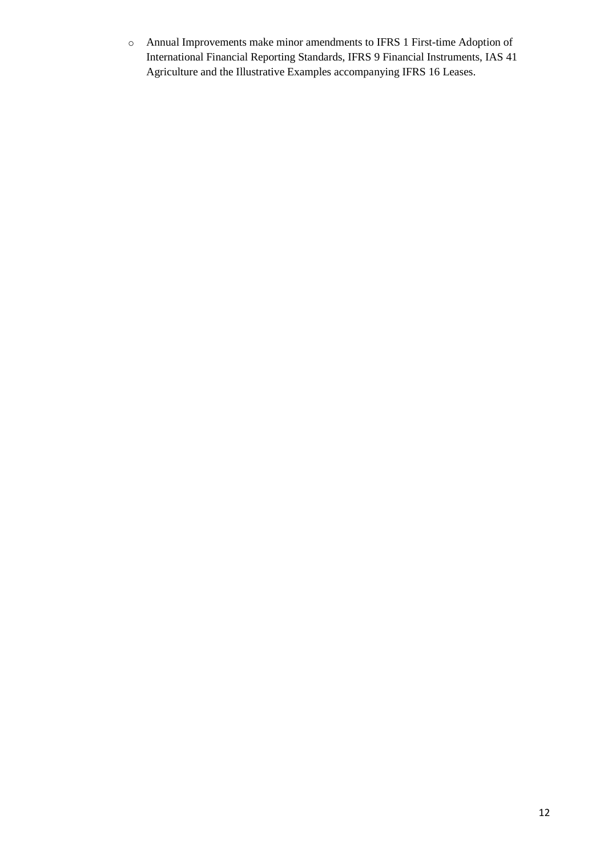o Annual Improvements make minor amendments to IFRS 1 First-time Adoption of International Financial Reporting Standards, IFRS 9 Financial Instruments, IAS 41 Agriculture and the Illustrative Examples accompanying IFRS 16 Leases.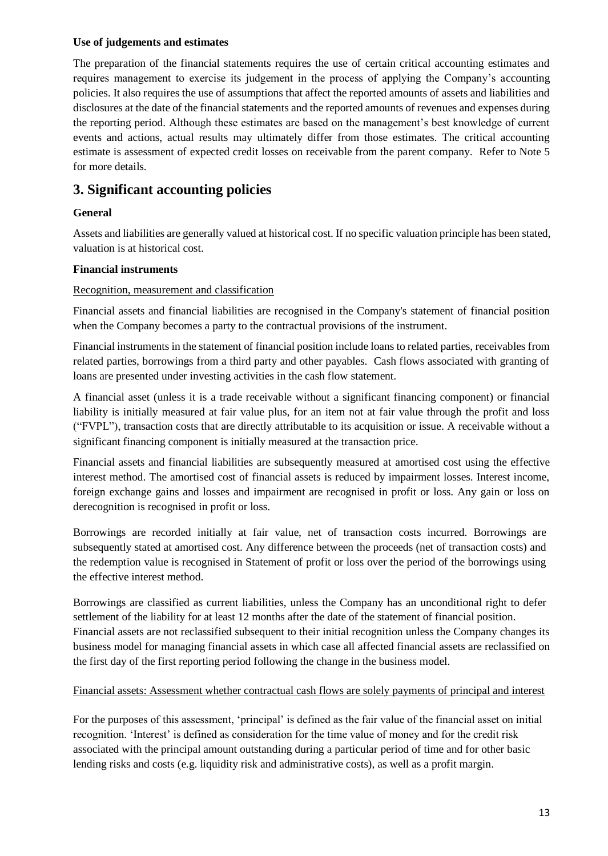#### **Use of judgements and estimates**

The preparation of the financial statements requires the use of certain critical accounting estimates and requires management to exercise its judgement in the process of applying the Company's accounting policies. It also requires the use of assumptions that affect the reported amounts of assets and liabilities and disclosures at the date of the financial statements and the reported amounts of revenues and expenses during the reporting period. Although these estimates are based on the management's best knowledge of current events and actions, actual results may ultimately differ from those estimates. The critical accounting estimate is assessment of expected credit losses on receivable from the parent company. Refer to Note 5 for more details.

### **3. Significant accounting policies**

#### **General**

Assets and liabilities are generally valued at historical cost. If no specific valuation principle has been stated, valuation is at historical cost.

#### **Financial instruments**

#### Recognition, measurement and classification

Financial assets and financial liabilities are recognised in the Company's statement of financial position when the Company becomes a party to the contractual provisions of the instrument.

Financial instruments in the statement of financial position include loans to related parties, receivables from related parties, borrowings from a third party and other payables. Cash flows associated with granting of loans are presented under investing activities in the cash flow statement.

A financial asset (unless it is a trade receivable without a significant financing component) or financial liability is initially measured at fair value plus, for an item not at fair value through the profit and loss ("FVPL"), transaction costs that are directly attributable to its acquisition or issue. A receivable without a significant financing component is initially measured at the transaction price.

Financial assets and financial liabilities are subsequently measured at amortised cost using the effective interest method. The amortised cost of financial assets is reduced by impairment losses. Interest income, foreign exchange gains and losses and impairment are recognised in profit or loss. Any gain or loss on derecognition is recognised in profit or loss.

Borrowings are recorded initially at fair value, net of transaction costs incurred. Borrowings are subsequently stated at amortised cost. Any difference between the proceeds (net of transaction costs) and the redemption value is recognised in Statement of profit or loss over the period of the borrowings using the effective interest method.

Borrowings are classified as current liabilities, unless the Company has an unconditional right to defer settlement of the liability for at least 12 months after the date of the statement of financial position. Financial assets are not reclassified subsequent to their initial recognition unless the Company changes its business model for managing financial assets in which case all affected financial assets are reclassified on the first day of the first reporting period following the change in the business model.

#### Financial assets: Assessment whether contractual cash flows are solely payments of principal and interest

For the purposes of this assessment, 'principal' is defined as the fair value of the financial asset on initial recognition. 'Interest' is defined as consideration for the time value of money and for the credit risk associated with the principal amount outstanding during a particular period of time and for other basic lending risks and costs (e.g. liquidity risk and administrative costs), as well as a profit margin.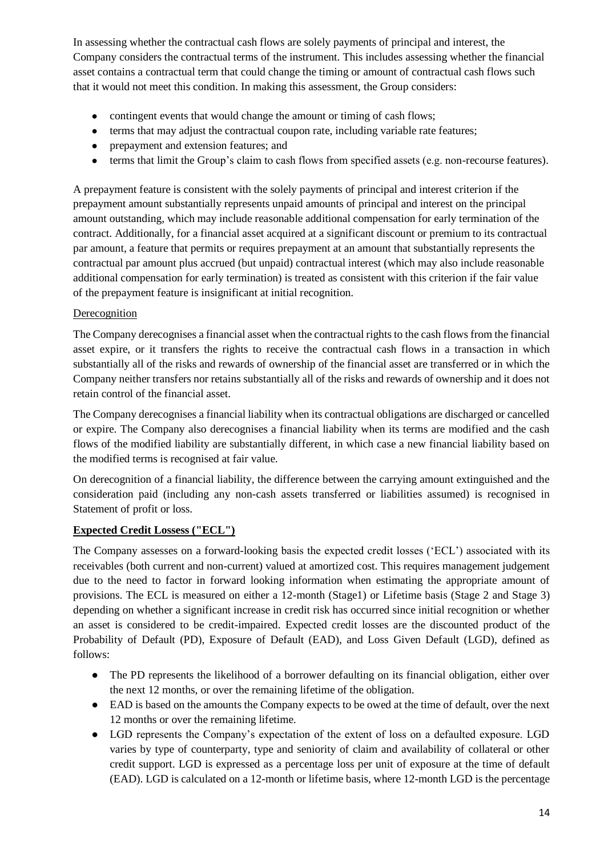In assessing whether the contractual cash flows are solely payments of principal and interest, the Company considers the contractual terms of the instrument. This includes assessing whether the financial asset contains a contractual term that could change the timing or amount of contractual cash flows such that it would not meet this condition. In making this assessment, the Group considers:

- contingent events that would change the amount or timing of cash flows;
- terms that may adjust the contractual coupon rate, including variable rate features;
- prepayment and extension features; and
- terms that limit the Group's claim to cash flows from specified assets (e.g. non-recourse features).

A prepayment feature is consistent with the solely payments of principal and interest criterion if the prepayment amount substantially represents unpaid amounts of principal and interest on the principal amount outstanding, which may include reasonable additional compensation for early termination of the contract. Additionally, for a financial asset acquired at a significant discount or premium to its contractual par amount, a feature that permits or requires prepayment at an amount that substantially represents the contractual par amount plus accrued (but unpaid) contractual interest (which may also include reasonable additional compensation for early termination) is treated as consistent with this criterion if the fair value of the prepayment feature is insignificant at initial recognition.

#### **Derecognition**

The Company derecognises a financial asset when the contractual rights to the cash flows from the financial asset expire, or it transfers the rights to receive the contractual cash flows in a transaction in which substantially all of the risks and rewards of ownership of the financial asset are transferred or in which the Company neither transfers nor retains substantially all of the risks and rewards of ownership and it does not retain control of the financial asset.

The Company derecognises a financial liability when its contractual obligations are discharged or cancelled or expire. The Company also derecognises a financial liability when its terms are modified and the cash flows of the modified liability are substantially different, in which case a new financial liability based on the modified terms is recognised at fair value.

On derecognition of a financial liability, the difference between the carrying amount extinguished and the consideration paid (including any non-cash assets transferred or liabilities assumed) is recognised in Statement of profit or loss.

#### **Expected Credit Lossess ("ECL")**

The Company assesses on a forward-looking basis the expected credit losses ('ECL') associated with its receivables (both current and non-current) valued at amortized cost. This requires management judgement due to the need to factor in forward looking information when estimating the appropriate amount of provisions. The ECL is measured on either a 12-month (Stage1) or Lifetime basis (Stage 2 and Stage 3) depending on whether a significant increase in credit risk has occurred since initial recognition or whether an asset is considered to be credit-impaired. Expected credit losses are the discounted product of the Probability of Default (PD), Exposure of Default (EAD), and Loss Given Default (LGD), defined as follows:

- The PD represents the likelihood of a borrower defaulting on its financial obligation, either over the next 12 months, or over the remaining lifetime of the obligation.
- EAD is based on the amounts the Company expects to be owed at the time of default, over the next 12 months or over the remaining lifetime.
- LGD represents the Company's expectation of the extent of loss on a defaulted exposure. LGD varies by type of counterparty, type and seniority of claim and availability of collateral or other credit support. LGD is expressed as a percentage loss per unit of exposure at the time of default (EAD). LGD is calculated on a 12-month or lifetime basis, where 12-month LGD is the percentage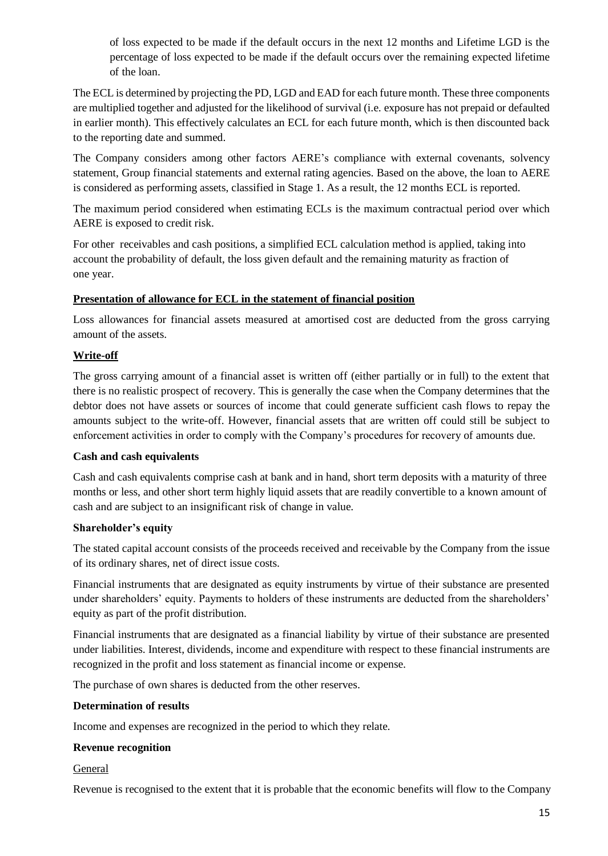of loss expected to be made if the default occurs in the next 12 months and Lifetime LGD is the percentage of loss expected to be made if the default occurs over the remaining expected lifetime of the loan.

The ECL is determined by projecting the PD, LGD and EAD for each future month. These three components are multiplied together and adjusted for the likelihood of survival (i.e. exposure has not prepaid or defaulted in earlier month). This effectively calculates an ECL for each future month, which is then discounted back to the reporting date and summed.

The Company considers among other factors AERE's compliance with external covenants, solvency statement, Group financial statements and external rating agencies. Based on the above, the loan to AERE is considered as performing assets, classified in Stage 1. As a result, the 12 months ECL is reported.

The maximum period considered when estimating ECLs is the maximum contractual period over which AERE is exposed to credit risk.

For other receivables and cash positions, a simplified ECL calculation method is applied, taking into account the probability of default, the loss given default and the remaining maturity as fraction of one year.

#### **Presentation of allowance for ECL in the statement of financial position**

Loss allowances for financial assets measured at amortised cost are deducted from the gross carrying amount of the assets.

#### **Write-off**

The gross carrying amount of a financial asset is written off (either partially or in full) to the extent that there is no realistic prospect of recovery. This is generally the case when the Company determines that the debtor does not have assets or sources of income that could generate sufficient cash flows to repay the amounts subject to the write-off. However, financial assets that are written off could still be subject to enforcement activities in order to comply with the Company's procedures for recovery of amounts due.

#### **Cash and cash equivalents**

Cash and cash equivalents comprise cash at bank and in hand, short term deposits with a maturity of three months or less, and other short term highly liquid assets that are readily convertible to a known amount of cash and are subject to an insignificant risk of change in value.

#### **Shareholder's equity**

The stated capital account consists of the proceeds received and receivable by the Company from the issue of its ordinary shares, net of direct issue costs.

Financial instruments that are designated as equity instruments by virtue of their substance are presented under shareholders' equity. Payments to holders of these instruments are deducted from the shareholders' equity as part of the profit distribution.

Financial instruments that are designated as a financial liability by virtue of their substance are presented under liabilities. Interest, dividends, income and expenditure with respect to these financial instruments are recognized in the profit and loss statement as financial income or expense.

The purchase of own shares is deducted from the other reserves.

#### **Determination of results**

Income and expenses are recognized in the period to which they relate.

#### **Revenue recognition**

#### General

Revenue is recognised to the extent that it is probable that the economic benefits will flow to the Company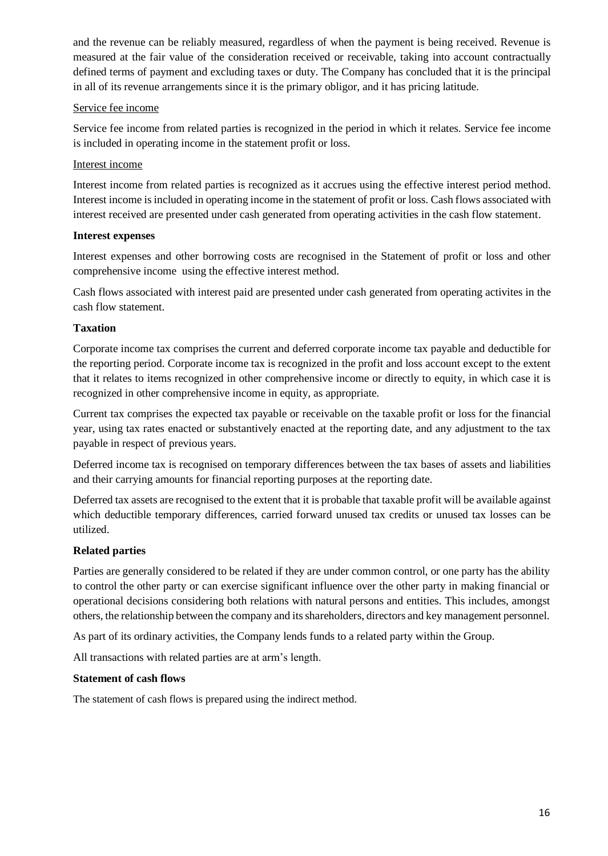and the revenue can be reliably measured, regardless of when the payment is being received. Revenue is measured at the fair value of the consideration received or receivable, taking into account contractually defined terms of payment and excluding taxes or duty. The Company has concluded that it is the principal in all of its revenue arrangements since it is the primary obligor, and it has pricing latitude.

#### Service fee income

Service fee income from related parties is recognized in the period in which it relates. Service fee income is included in operating income in the statement profit or loss.

#### Interest income

Interest income from related parties is recognized as it accrues using the effective interest period method. Interest income is included in operating income in the statement of profit or loss. Cash flows associated with interest received are presented under cash generated from operating activities in the cash flow statement.

#### **Interest expenses**

Interest expenses and other borrowing costs are recognised in the Statement of profit or loss and other comprehensive income using the effective interest method.

Cash flows associated with interest paid are presented under cash generated from operating activites in the cash flow statement.

#### **Taxation**

Corporate income tax comprises the current and deferred corporate income tax payable and deductible for the reporting period. Corporate income tax is recognized in the profit and loss account except to the extent that it relates to items recognized in other comprehensive income or directly to equity, in which case it is recognized in other comprehensive income in equity, as appropriate.

Current tax comprises the expected tax payable or receivable on the taxable profit or loss for the financial year, using tax rates enacted or substantively enacted at the reporting date, and any adjustment to the tax payable in respect of previous years.

Deferred income tax is recognised on temporary differences between the tax bases of assets and liabilities and their carrying amounts for financial reporting purposes at the reporting date.

Deferred tax assets are recognised to the extent that it is probable that taxable profit will be available against which deductible temporary differences, carried forward unused tax credits or unused tax losses can be utilized.

#### **Related parties**

Parties are generally considered to be related if they are under common control, or one party has the ability to control the other party or can exercise significant influence over the other party in making financial or operational decisions considering both relations with natural persons and entities. This includes, amongst others, the relationship between the company and its shareholders, directors and key management personnel.

As part of its ordinary activities, the Company lends funds to a related party within the Group.

All transactions with related parties are at arm's length.

#### **Statement of cash flows**

The statement of cash flows is prepared using the indirect method.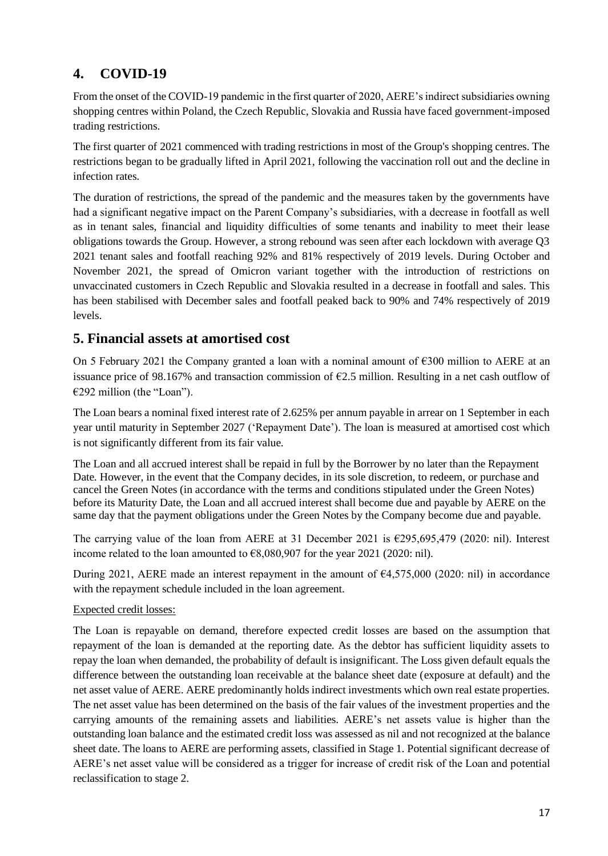# **4. COVID-19**

From the onset of the COVID-19 pandemic in the first quarter of 2020, AERE's indirect subsidiaries owning shopping centres within Poland, the Czech Republic, Slovakia and Russia have faced government-imposed trading restrictions.

The first quarter of 2021 commenced with trading restrictions in most of the Group's shopping centres. The restrictions began to be gradually lifted in April 2021, following the vaccination roll out and the decline in infection rates.

The duration of restrictions, the spread of the pandemic and the measures taken by the governments have had a significant negative impact on the Parent Company's subsidiaries, with a decrease in footfall as well as in tenant sales, financial and liquidity difficulties of some tenants and inability to meet their lease obligations towards the Group. However, a strong rebound was seen after each lockdown with average Q3 2021 tenant sales and footfall reaching 92% and 81% respectively of 2019 levels. During October and November 2021, the spread of Omicron variant together with the introduction of restrictions on unvaccinated customers in Czech Republic and Slovakia resulted in a decrease in footfall and sales. This has been stabilised with December sales and footfall peaked back to 90% and 74% respectively of 2019 levels.

### **5. Financial assets at amortised cost**

On 5 February 2021 the Company granted a loan with a nominal amount of  $\epsilon$ 300 million to AERE at an issuance price of 98.167% and transaction commission of €2.5 million. Resulting in a net cash outflow of €292 million (the "Loan").

The Loan bears a nominal fixed interest rate of 2.625% per annum payable in arrear on 1 September in each year until maturity in September 2027 ('Repayment Date'). The loan is measured at amortised cost which is not significantly different from its fair value.

The Loan and all accrued interest shall be repaid in full by the Borrower by no later than the Repayment Date. However, in the event that the Company decides, in its sole discretion, to redeem, or purchase and cancel the Green Notes (in accordance with the terms and conditions stipulated under the Green Notes) before its Maturity Date, the Loan and all accrued interest shall become due and payable by AERE on the same day that the payment obligations under the Green Notes by the Company become due and payable.

The carrying value of the loan from AERE at 31 December 2021 is  $\epsilon$ 295,695,479 (2020: nil). Interest income related to the loan amounted to  $\epsilon$ 8,080,907 for the year 2021 (2020: nil).

During 2021, AERE made an interest repayment in the amount of €4,575,000 (2020: nil) in accordance with the repayment schedule included in the loan agreement.

#### Expected credit losses:

The Loan is repayable on demand, therefore expected credit losses are based on the assumption that repayment of the loan is demanded at the reporting date. As the debtor has sufficient liquidity assets to repay the loan when demanded, the probability of default is insignificant. The Loss given default equals the difference between the outstanding loan receivable at the balance sheet date (exposure at default) and the net asset value of AERE. AERE predominantly holds indirect investments which own real estate properties. The net asset value has been determined on the basis of the fair values of the investment properties and the carrying amounts of the remaining assets and liabilities. AERE's net assets value is higher than the outstanding loan balance and the estimated credit loss was assessed as nil and not recognized at the balance sheet date. The loans to AERE are performing assets, classified in Stage 1. Potential significant decrease of AERE's net asset value will be considered as a trigger for increase of credit risk of the Loan and potential reclassification to stage 2.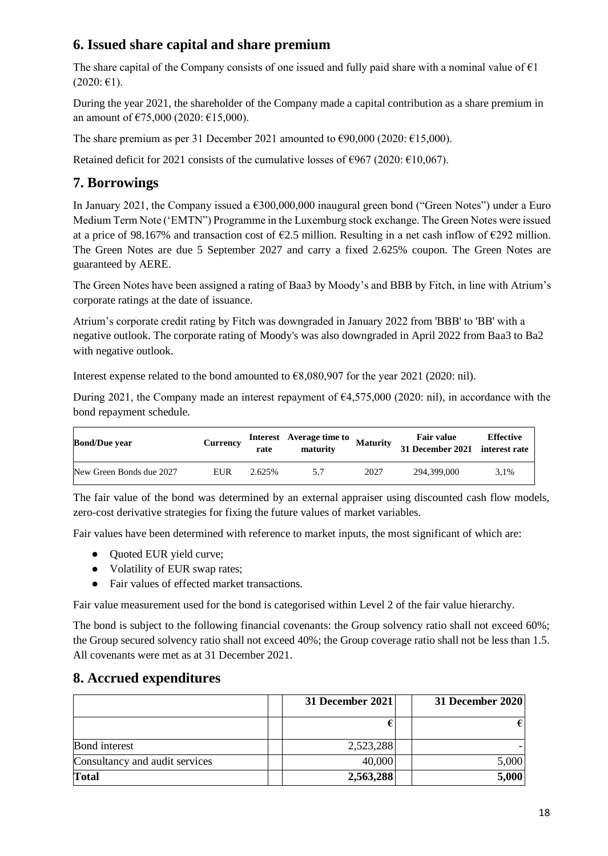# **6. Issued share capital and share premium**

The share capital of the Company consists of one issued and fully paid share with a nominal value of  $\epsilon_1$  $(2020: \text{ } \in 1).$ 

During the year 2021, the shareholder of the Company made a capital contribution as a share premium in an amount of  $\text{\textsterling}75,000$  (2020:  $\text{\textsterling}15,000$ ).

The share premium as per 31 December 2021 amounted to  $\epsilon$ 90,000 (2020:  $\epsilon$ 15,000).

Retained deficit for 2021 consists of the cumulative losses of  $\epsilon$ 967 (2020:  $\epsilon$ 10,067).

# **7. Borrowings**

In January 2021, the Company issued a €300,000,000 inaugural green bond ("Green Notes") under a Euro Medium Term Note ('EMTN") Programme in the Luxemburg stock exchange. The Green Notes were issued at a price of 98.167% and transaction cost of  $\epsilon$ 2.5 million. Resulting in a net cash inflow of  $\epsilon$ 292 million. The Green Notes are due 5 September 2027 and carry a fixed 2.625% coupon. The Green Notes are guaranteed by AERE.

The Green Notes have been assigned a rating of Baa3 by Moody's and BBB by Fitch, in line with Atrium's corporate ratings at the date of issuance.

Atrium's corporate credit rating by Fitch was downgraded in January 2022 from 'BBB' to 'BB' with a negative outlook. The corporate rating of Moody's was also downgraded in April 2022 from Baa3 to Ba2 with negative outlook.

Interest expense related to the bond amounted to €8,080,907 for the year 2021 (2020: nil).

During 2021, the Company made an interest repayment of  $64,575,000$  (2020: nil), in accordance with the bond repayment schedule.

| <b>Bond/Due year</b>     | Currency | rate   | <b>Interest</b> Average time to<br>maturity | Maturity | <b>Fair value</b><br>31 December 2021 interest rate | <b>Effective</b> |
|--------------------------|----------|--------|---------------------------------------------|----------|-----------------------------------------------------|------------------|
| New Green Bonds due 2027 | EUR      | 2.625% | 5.7                                         | 2027     | 294.399.000                                         | 3.1%             |

The fair value of the bond was determined by an external appraiser using discounted cash flow models, zero-cost derivative strategies for fixing the future values of market variables.

Fair values have been determined with reference to market inputs, the most significant of which are:

- Quoted EUR yield curve;
- Volatility of EUR swap rates;
- Fair values of effected market transactions.

Fair value measurement used for the bond is categorised within Level 2 of the fair value hierarchy.

The bond is subject to the following financial covenants: the Group solvency ratio shall not exceed 60%; the Group secured solvency ratio shall not exceed 40%; the Group coverage ratio shall not be less than 1.5. All covenants were met as at 31 December 2021.

### **8. Accrued expenditures**

|                                | 31 December 2021 | 31 December 2020 |
|--------------------------------|------------------|------------------|
|                                |                  |                  |
| <b>Bond</b> interest           | 2,523,288        |                  |
| Consultancy and audit services | 40,000           | 5,000            |
| <b>Total</b>                   | 2,563,288        | 5,000            |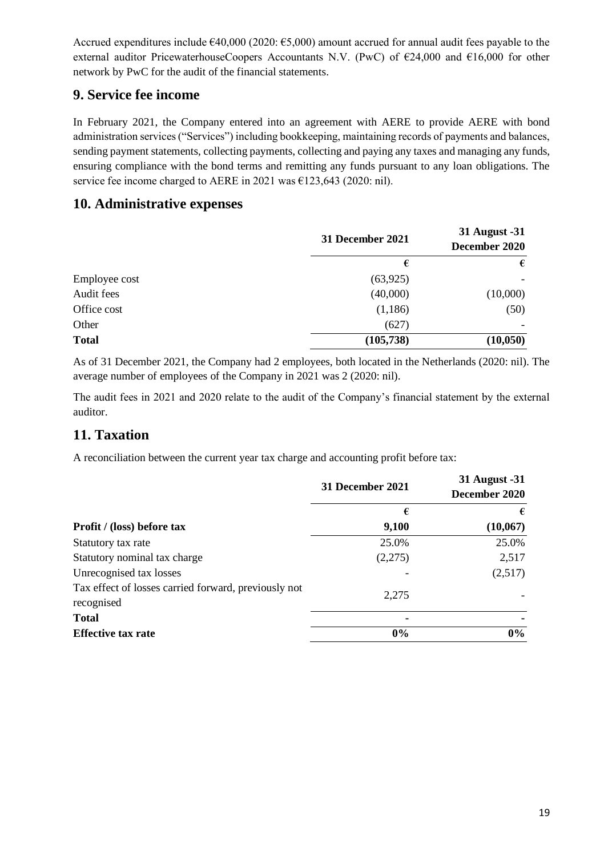Accrued expenditures include  $\epsilon$ 40,000 (2020:  $\epsilon$ 5,000) amount accrued for annual audit fees payable to the external auditor PricewaterhouseCoopers Accountants N.V. (PwC) of  $\epsilon$ 24,000 and  $\epsilon$ 16,000 for other network by PwC for the audit of the financial statements.

# **9. Service fee income**

In February 2021, the Company entered into an agreement with AERE to provide AERE with bond administration services ("Services") including bookkeeping, maintaining records of payments and balances, sending payment statements, collecting payments, collecting and paying any taxes and managing any funds, ensuring compliance with the bond terms and remitting any funds pursuant to any loan obligations. The service fee income charged to AERE in 2021 was €123,643 (2020: nil).

### **10. Administrative expenses**

|               | 31 December 2021 | 31 August -31<br>December 2020 |
|---------------|------------------|--------------------------------|
|               | €                | €                              |
| Employee cost | (63, 925)        |                                |
| Audit fees    | (40,000)         | (10,000)                       |
| Office cost   | (1,186)          | (50)                           |
| Other         | (627)            |                                |
| <b>Total</b>  | (105, 738)       | (10, 050)                      |

As of 31 December 2021, the Company had 2 employees, both located in the Netherlands (2020: nil). The average number of employees of the Company in 2021 was 2 (2020: nil).

The audit fees in 2021 and 2020 relate to the audit of the Company's financial statement by the external auditor.

# **11. Taxation**

A reconciliation between the current year tax charge and accounting profit before tax:

|                                                                    | 31 December 2021 | 31 August -31<br>December 2020 |
|--------------------------------------------------------------------|------------------|--------------------------------|
|                                                                    | €                | €                              |
| Profit / (loss) before tax                                         | 9,100            | (10,067)                       |
| Statutory tax rate                                                 | 25.0%            | 25.0%                          |
| Statutory nominal tax charge                                       | (2,275)          | 2,517                          |
| Unrecognised tax losses                                            |                  | (2,517)                        |
| Tax effect of losses carried forward, previously not<br>recognised | 2,275            |                                |
| <b>Total</b>                                                       |                  |                                |
| <b>Effective tax rate</b>                                          | $0\%$            | $0\%$                          |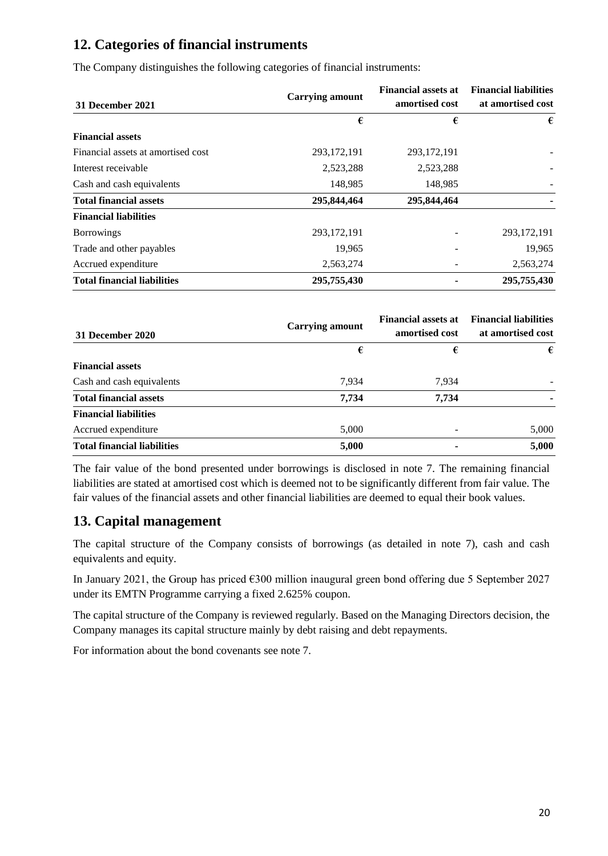# **12. Categories of financial instruments**

The Company distinguishes the following categories of financial instruments:

| 31 December 2021                   | <b>Carrying amount</b> | <b>Financial assets at</b><br>amortised cost | <b>Financial liabilities</b><br>at amortised cost |
|------------------------------------|------------------------|----------------------------------------------|---------------------------------------------------|
|                                    | €                      | €                                            | €                                                 |
| <b>Financial assets</b>            |                        |                                              |                                                   |
| Financial assets at amortised cost | 293, 172, 191          | 293, 172, 191                                |                                                   |
| Interest receivable                | 2,523,288              | 2,523,288                                    |                                                   |
| Cash and cash equivalents          | 148,985                | 148,985                                      |                                                   |
| <b>Total financial assets</b>      | 295,844,464            | 295,844,464                                  |                                                   |
| <b>Financial liabilities</b>       |                        |                                              |                                                   |
| <b>Borrowings</b>                  | 293, 172, 191          |                                              | 293, 172, 191                                     |
| Trade and other payables           | 19,965                 |                                              | 19,965                                            |
| Accrued expenditure                | 2,563,274              |                                              | 2,563,274                                         |
| <b>Total financial liabilities</b> | 295,755,430            |                                              | 295,755,430                                       |

| 31 December 2020                   | <b>Carrying amount</b> | <b>Financial assets at</b><br>amortised cost | <b>Financial liabilities</b><br>at amortised cost |
|------------------------------------|------------------------|----------------------------------------------|---------------------------------------------------|
|                                    | €                      | €                                            | €                                                 |
| <b>Financial assets</b>            |                        |                                              |                                                   |
| Cash and cash equivalents          | 7,934                  | 7,934                                        |                                                   |
| <b>Total financial assets</b>      | 7,734                  | 7,734                                        |                                                   |
| <b>Financial liabilities</b>       |                        |                                              |                                                   |
| Accrued expenditure                | 5,000                  |                                              | 5,000                                             |
| <b>Total financial liabilities</b> | 5,000                  | $\blacksquare$                               | 5,000                                             |

The fair value of the bond presented under borrowings is disclosed in note 7. The remaining financial liabilities are stated at amortised cost which is deemed not to be significantly different from fair value. The fair values of the financial assets and other financial liabilities are deemed to equal their book values.

# **13. Capital management**

The capital structure of the Company consists of borrowings (as detailed in note 7), cash and cash equivalents and equity.

In January 2021, the Group has priced €300 million inaugural green bond offering due 5 September 2027 under its EMTN Programme carrying a fixed 2.625% coupon.

The capital structure of the Company is reviewed regularly. Based on the Managing Directors decision, the Company manages its capital structure mainly by debt raising and debt repayments.

For information about the bond covenants see note 7.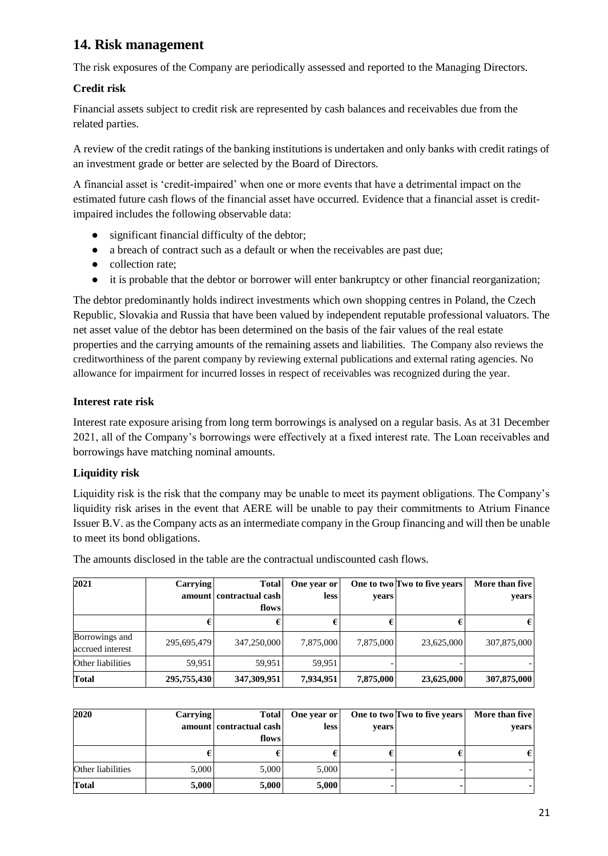# **14. Risk management**

The risk exposures of the Company are periodically assessed and reported to the Managing Directors.

#### **Credit risk**

Financial assets subject to credit risk are represented by cash balances and receivables due from the related parties.

A review of the credit ratings of the banking institutions is undertaken and only banks with credit ratings of an investment grade or better are selected by the Board of Directors.

A financial asset is 'credit-impaired' when one or more events that have a detrimental impact on the estimated future cash flows of the financial asset have occurred. Evidence that a financial asset is creditimpaired includes the following observable data:

- significant financial difficulty of the debtor:
- a breach of contract such as a default or when the receivables are past due;
- collection rate;
- it is probable that the debtor or borrower will enter bankruptcy or other financial reorganization;

The debtor predominantly holds indirect investments which own shopping centres in Poland, the Czech Republic, Slovakia and Russia that have been valued by independent reputable professional valuators. The net asset value of the debtor has been determined on the basis of the fair values of the real estate properties and the carrying amounts of the remaining assets and liabilities. The Company also reviews the creditworthiness of the parent company by reviewing external publications and external rating agencies. No allowance for impairment for incurred losses in respect of receivables was recognized during the year.

#### **Interest rate risk**

Interest rate exposure arising from long term borrowings is analysed on a regular basis. As at 31 December 2021, all of the Company's borrowings were effectively at a fixed interest rate. The Loan receivables and borrowings have matching nominal amounts.

### **Liquidity risk**

Liquidity risk is the risk that the company may be unable to meet its payment obligations. The Company's liquidity risk arises in the event that AERE will be unable to pay their commitments to Atrium Finance Issuer B.V. as the Company acts as an intermediate company in the Group financing and will then be unable to meet its bond obligations.

The amounts disclosed in the table are the contractual undiscounted cash flows.

| 2021              | <b>Carrying</b> | <b>Total</b>            | One year or |           | One to two Two to five years | More than five |
|-------------------|-----------------|-------------------------|-------------|-----------|------------------------------|----------------|
|                   |                 | amount contractual cash | <b>less</b> | years     |                              | years          |
|                   |                 | flows                   |             |           |                              |                |
|                   |                 |                         |             |           |                              |                |
| Borrowings and    | 295,695,479     | 347,250,000             | 7,875,000   | 7,875,000 | 23,625,000                   | 307,875,000    |
| accrued interest  |                 |                         |             |           |                              |                |
| Other liabilities | 59.951          | 59.951                  | 59.951      |           |                              |                |
| Total             | 295,755,430     | 347,309,951             | 7,934,951   | 7,875,000 | 23,625,000                   | 307,875,000    |

| 2020              | Carrying | Total<br>amount contractual cash<br>flows | One year or<br>less | vears | One to two Two to five years | More than five<br>vears |
|-------------------|----------|-------------------------------------------|---------------------|-------|------------------------------|-------------------------|
|                   |          |                                           |                     |       |                              |                         |
| Other liabilities | 5.000    | 5,000                                     | 5,000               |       |                              |                         |
| <b>Total</b>      | 5,000    | 5,000                                     | 5,000               |       |                              |                         |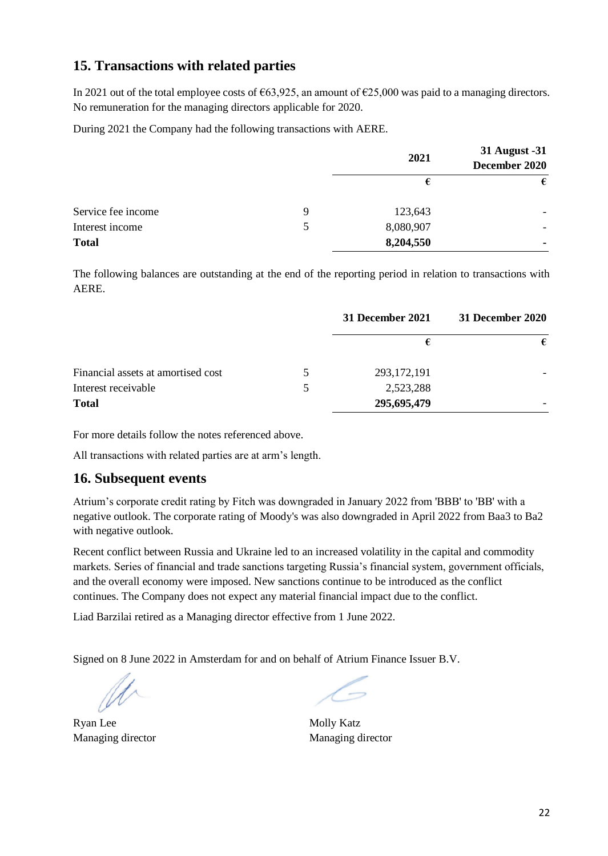### **15. Transactions with related parties**

In 2021 out of the total employee costs of  $\epsilon$ 63,925, an amount of  $\epsilon$ 25,000 was paid to a managing directors. No remuneration for the managing directors applicable for 2020.

During 2021 the Company had the following transactions with AERE.

|                    |   | 2021      | 31 August -31<br>December 2020 |  |
|--------------------|---|-----------|--------------------------------|--|
|                    |   | €         | €                              |  |
| Service fee income | 9 | 123,643   |                                |  |
| Interest income    | 5 | 8,080,907 | -                              |  |
| <b>Total</b>       |   | 8,204,550 | ۰                              |  |

The following balances are outstanding at the end of the reporting period in relation to transactions with AERE.

|                                    |               | 31 December 2021 | 31 December 2020 |
|------------------------------------|---------------|------------------|------------------|
|                                    |               |                  | €                |
| Financial assets at amortised cost | $\mathcal{D}$ | 293, 172, 191    |                  |
| Interest receivable                | 5             | 2,523,288        |                  |
| <b>Total</b>                       |               | 295,695,479      |                  |

For more details follow the notes referenced above.

All transactions with related parties are at arm's length.

### **16. Subsequent events**

Atrium's corporate credit rating by Fitch was downgraded in January 2022 from 'BBB' to 'BB' with a negative outlook. The corporate rating of Moody's was also downgraded in April 2022 from Baa3 to Ba2 with negative outlook.

Recent conflict between Russia and Ukraine led to an increased volatility in the capital and commodity markets. Series of financial and trade sanctions targeting Russia's financial system, government officials, and the overall economy were imposed. New sanctions continue to be introduced as the conflict continues. The Company does not expect any material financial impact due to the conflict.

Liad Barzilai retired as a Managing director effective from 1 June 2022.

Signed on 8 June 2022 in Amsterdam for and on behalf of Atrium Finance Issuer B.V.

Ryan Lee Managing director

Molly Katz Managing director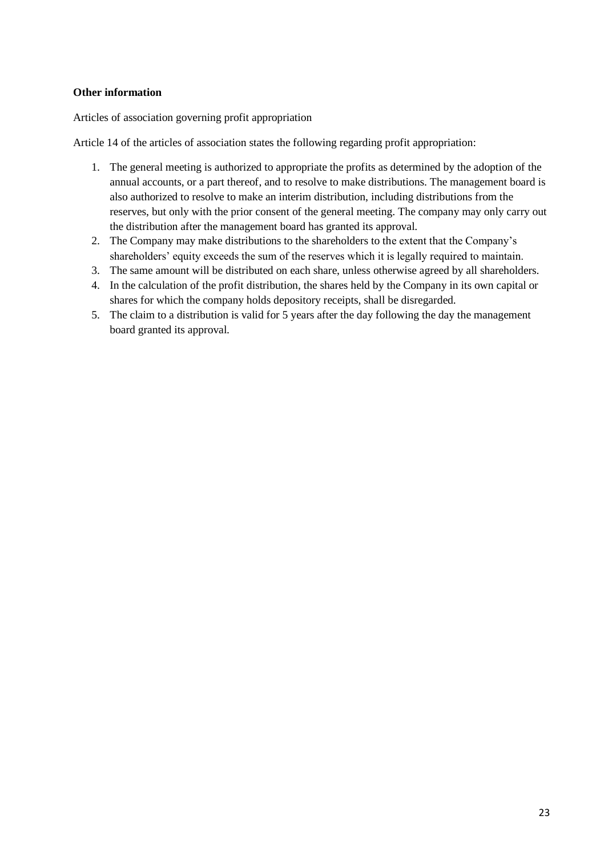#### **Other information**

Articles of association governing profit appropriation

Article 14 of the articles of association states the following regarding profit appropriation:

- 1. The general meeting is authorized to appropriate the profits as determined by the adoption of the annual accounts, or a part thereof, and to resolve to make distributions. The management board is also authorized to resolve to make an interim distribution, including distributions from the reserves, but only with the prior consent of the general meeting. The company may only carry out the distribution after the management board has granted its approval.
- 2. The Company may make distributions to the shareholders to the extent that the Company's shareholders' equity exceeds the sum of the reserves which it is legally required to maintain.
- 3. The same amount will be distributed on each share, unless otherwise agreed by all shareholders.
- 4. In the calculation of the profit distribution, the shares held by the Company in its own capital or shares for which the company holds depository receipts, shall be disregarded.
- 5. The claim to a distribution is valid for 5 years after the day following the day the management board granted its approval.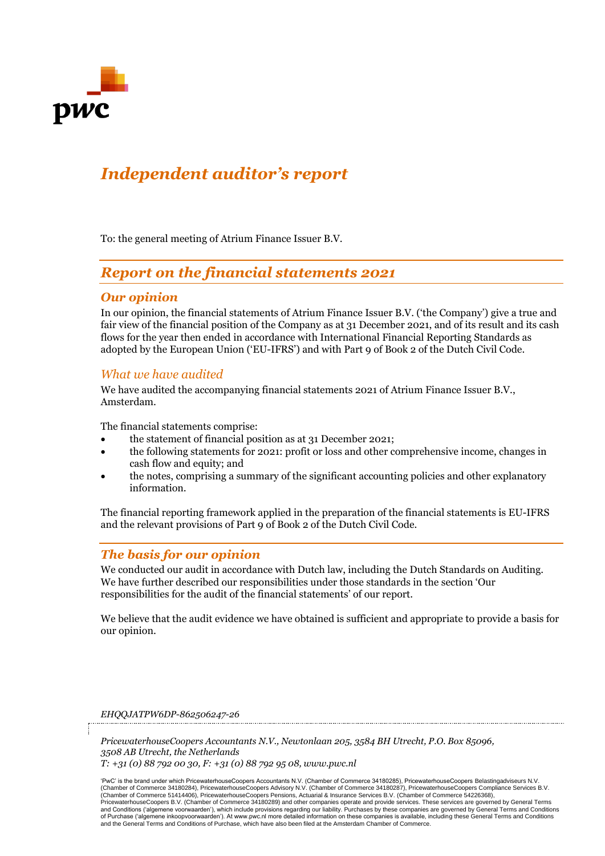

# *Independent auditor's report*

To: the general meeting of Atrium Finance Issuer B.V.

# *Report on the financial statements 2021*

#### *Our opinion*

In our opinion, the financial statements of Atrium Finance Issuer B.V. ('the Company') give a true and fair view of the financial position of the Company as at 31 December 2021, and of its result and its cash flows for the year then ended in accordance with International Financial Reporting Standards as adopted by the European Union ('EU-IFRS') and with Part 9 of Book 2 of the Dutch Civil Code.

#### *What we have audited*

We have audited the accompanying financial statements 2021 of Atrium Finance Issuer B.V., Amsterdam.

The financial statements comprise:

- the statement of financial position as at 31 December 2021;
- the following statements for 2021: profit or loss and other comprehensive income, changes in cash flow and equity; and
- the notes, comprising a summary of the significant accounting policies and other explanatory information.

The financial reporting framework applied in the preparation of the financial statements is EU-IFRS and the relevant provisions of Part 9 of Book 2 of the Dutch Civil Code.

#### *The basis for our opinion*

We conducted our audit in accordance with Dutch law, including the Dutch Standards on Auditing. We have further described our responsibilities under those standards in the section 'Our responsibilities for the audit of the financial statements' of our report.

We believe that the audit evidence we have obtained is sufficient and appropriate to provide a basis for our opinion.

*EHQQJATPW6DP-862506247-26*

*PricewaterhouseCoopers Accountants N.V., Newtonlaan 205, 3584 BH Utrecht, P.O. Box 85096, 3508 AB Utrecht, the Netherlands T: +31 (0) 88 792 00 30, F: +31 (0) 88 792 95 08, www.pwc.nl*

'PwC' is the brand under which PricewaterhouseCoopers Accountants N.V. (Chamber of Commerce 34180285), PricewaterhouseCoopers Belastingadviseurs N.V. (Chamber of Commerce 34180284), PricewaterhouseCoopers Advisory N.V. (Chamber of Commerce 34180287), PricewaterhouseCoopers Compliance Services B.V. (Chamber of Commerce 51414406), PricewaterhouseCoopers Pensions, Actuarial & Insurance Services B.V. (Chamber of Commerce 54226368),<br>PricewaterhouseCoopers B.V. (Chamber of Commerce 34180289) and other companies operate an and Conditions ('algemene voorwaarden'), which include provisions regarding our liability. Purchases by these companies are governed by General Terms and Conditions<br>of Purchase ('algemene inkoopvoorwaarden'). At www.pwc.n and the General Terms and Conditions of Purchase, which have also been filed at the Amsterdam Chamber of Commerce.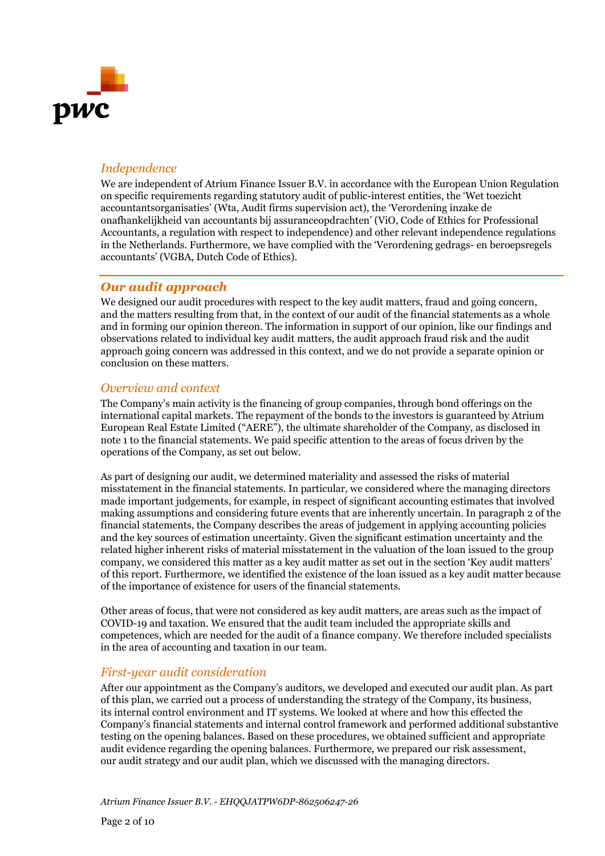

#### *Independence*

We are independent of Atrium Finance Issuer B.V. in accordance with the European Union Regulation on specific requirements regarding statutory audit of public-interest entities, the 'Wet toezicht accountantsorganisaties' (Wta, Audit firms supervision act), the 'Verordening inzake de onafhankelijkheid van accountants bij assuranceopdrachten' (ViO, Code of Ethics for Professional Accountants, a regulation with respect to independence) and other relevant independence regulations in the Netherlands. Furthermore, we have complied with the 'Verordening gedrags- en beroepsregels accountants' (VGBA, Dutch Code of Ethics).

#### *Our audit approach*

We designed our audit procedures with respect to the key audit matters, fraud and going concern, and the matters resulting from that, in the context of our audit of the financial statements as a whole and in forming our opinion thereon. The information in support of our opinion, like our findings and observations related to individual key audit matters, the audit approach fraud risk and the audit approach going concern was addressed in this context, and we do not provide a separate opinion or conclusion on these matters.

#### *Overview and context*

The Company's main activity is the financing of group companies, through bond offerings on the international capital markets. The repayment of the bonds to the investors is guaranteed by Atrium European Real Estate Limited ("AERE"), the ultimate shareholder of the Company, as disclosed in note 1 to the financial statements. We paid specific attention to the areas of focus driven by the operations of the Company, as set out below.

As part of designing our audit, we determined materiality and assessed the risks of material misstatement in the financial statements. In particular, we considered where the managing directors made important judgements, for example, in respect of significant accounting estimates that involved making assumptions and considering future events that are inherently uncertain. In paragraph 2 of the financial statements, the Company describes the areas of judgement in applying accounting policies and the key sources of estimation uncertainty. Given the significant estimation uncertainty and the related higher inherent risks of material misstatement in the valuation of the loan issued to the group company, we considered this matter as a key audit matter as set out in the section 'Key audit matters' of this report. Furthermore, we identified the existence of the loan issued as a key audit matter because of the importance of existence for users of the financial statements.

Other areas of focus, that were not considered as key audit matters, are areas such as the impact of COVID-19 and taxation. We ensured that the audit team included the appropriate skills and competences, which are needed for the audit of a finance company. We therefore included specialists in the area of accounting and taxation in our team.

#### *First-year audit consideration*

After our appointment as the Company's auditors, we developed and executed our audit plan. As part of this plan, we carried out a process of understanding the strategy of the Company, its business, its internal control environment and IT systems. We looked at where and how this effected the Company's financial statements and internal control framework and performed additional substantive testing on the opening balances. Based on these procedures, we obtained sufficient and appropriate audit evidence regarding the opening balances. Furthermore, we prepared our risk assessment, our audit strategy and our audit plan, which we discussed with the managing directors.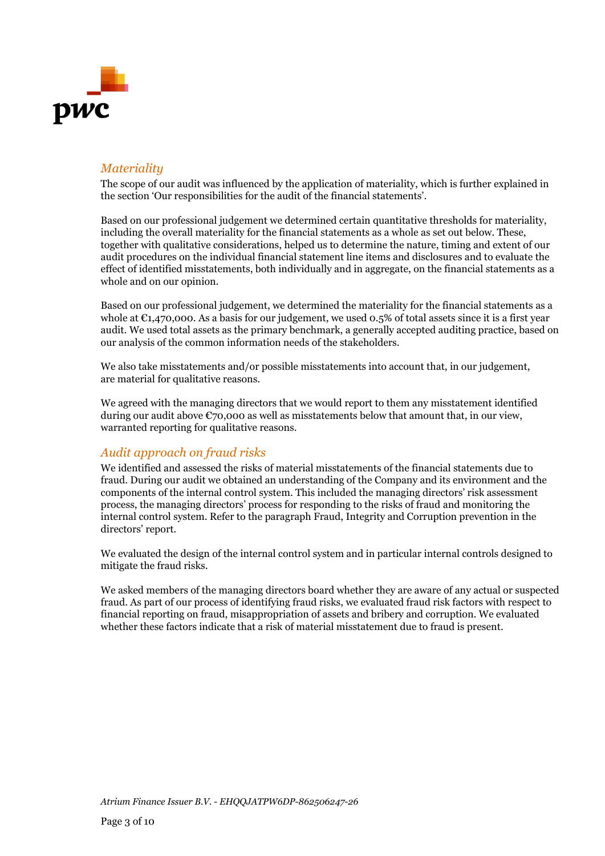

#### *Materiality*

The scope of our audit was influenced by the application of materiality, which is further explained in the section 'Our responsibilities for the audit of the financial statements'.

Based on our professional judgement we determined certain quantitative thresholds for materiality, including the overall materiality for the financial statements as a whole as set out below. These, together with qualitative considerations, helped us to determine the nature, timing and extent of our audit procedures on the individual financial statement line items and disclosures and to evaluate the effect of identified misstatements, both individually and in aggregate, on the financial statements as a whole and on our opinion.

Based on our professional judgement, we determined the materiality for the financial statements as a whole at  $C<sub>1</sub>,470,000$ . As a basis for our judgement, we used 0.5% of total assets since it is a first year audit. We used total assets as the primary benchmark, a generally accepted auditing practice, based on our analysis of the common information needs of the stakeholders.

We also take misstatements and/or possible misstatements into account that, in our judgement, are material for qualitative reasons.

We agreed with the managing directors that we would report to them any misstatement identified during our audit above  $\mathfrak{C}$ 70,000 as well as misstatements below that amount that, in our view, warranted reporting for qualitative reasons.

#### *Audit approach on fraud risks*

We identified and assessed the risks of material misstatements of the financial statements due to fraud. During our audit we obtained an understanding of the Company and its environment and the components of the internal control system. This included the managing directors' risk assessment process, the managing directors' process for responding to the risks of fraud and monitoring the internal control system. Refer to the paragraph Fraud, Integrity and Corruption prevention in the directors' report.

We evaluated the design of the internal control system and in particular internal controls designed to mitigate the fraud risks.

We asked members of the managing directors board whether they are aware of any actual or suspected fraud. As part of our process of identifying fraud risks, we evaluated fraud risk factors with respect to financial reporting on fraud, misappropriation of assets and bribery and corruption. We evaluated whether these factors indicate that a risk of material misstatement due to fraud is present.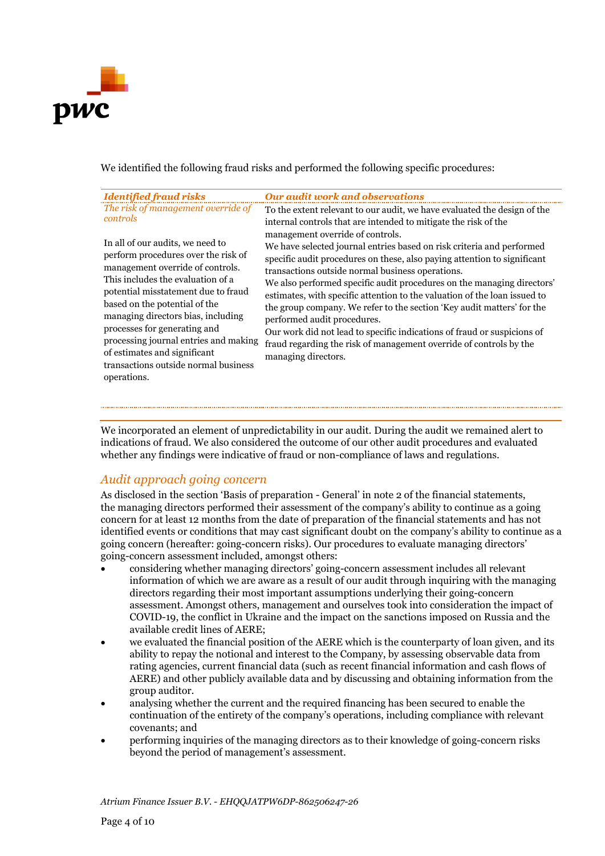

We identified the following fraud risks and performed the following specific procedures:

| <b>Identified fraud risks</b><br>The risk of management override of<br>controls<br>In all of our audits, we need to<br>perform procedures over the risk of<br>management override of controls.<br>This includes the evaluation of a<br>potential misstatement due to fraud<br>based on the potential of the<br>managing directors bias, including | <b>Our audit work and observations</b><br>To the extent relevant to our audit, we have evaluated the design of the<br>internal controls that are intended to mitigate the risk of the<br>management override of controls.<br>We have selected journal entries based on risk criteria and performed<br>specific audit procedures on these, also paying attention to significant<br>transactions outside normal business operations.<br>We also performed specific audit procedures on the managing directors'<br>estimates, with specific attention to the valuation of the loan issued to |  |
|---------------------------------------------------------------------------------------------------------------------------------------------------------------------------------------------------------------------------------------------------------------------------------------------------------------------------------------------------|-------------------------------------------------------------------------------------------------------------------------------------------------------------------------------------------------------------------------------------------------------------------------------------------------------------------------------------------------------------------------------------------------------------------------------------------------------------------------------------------------------------------------------------------------------------------------------------------|--|
| processes for generating and<br>processing journal entries and making                                                                                                                                                                                                                                                                             | the group company. We refer to the section 'Key audit matters' for the<br>performed audit procedures.<br>Our work did not lead to specific indications of fraud or suspicions of<br>fraud regarding the risk of management override of controls by the                                                                                                                                                                                                                                                                                                                                    |  |
| of estimates and significant<br>transactions outside normal business<br>operations.                                                                                                                                                                                                                                                               | managing directors.                                                                                                                                                                                                                                                                                                                                                                                                                                                                                                                                                                       |  |

We incorporated an element of unpredictability in our audit. During the audit we remained alert to indications of fraud. We also considered the outcome of our other audit procedures and evaluated whether any findings were indicative of fraud or non-compliance of laws and regulations.

### *Audit approach going concern*

As disclosed in the section 'Basis of preparation - General' in note 2 of the financial statements, the managing directors performed their assessment of the company's ability to continue as a going concern for at least 12 months from the date of preparation of the financial statements and has not identified events or conditions that may cast significant doubt on the company's ability to continue as a going concern (hereafter: going-concern risks). Our procedures to evaluate managing directors' going-concern assessment included, amongst others:

- considering whether managing directors' going-concern assessment includes all relevant information of which we are aware as a result of our audit through inquiring with the managing directors regarding their most important assumptions underlying their going-concern assessment. Amongst others, management and ourselves took into consideration the impact of COVID-19, the conflict in Ukraine and the impact on the sanctions imposed on Russia and the available credit lines of AERE;
- we evaluated the financial position of the AERE which is the counterparty of loan given, and its ability to repay the notional and interest to the Company, by assessing observable data from rating agencies, current financial data (such as recent financial information and cash flows of AERE) and other publicly available data and by discussing and obtaining information from the group auditor.
- analysing whether the current and the required financing has been secured to enable the continuation of the entirety of the company's operations, including compliance with relevant covenants; and
- performing inquiries of the managing directors as to their knowledge of going-concern risks beyond the period of management's assessment.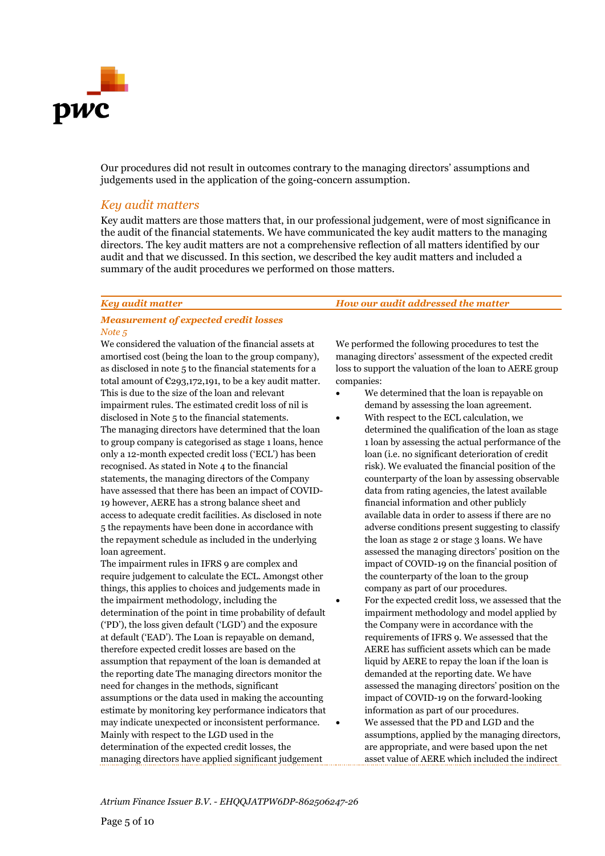

Our procedures did not result in outcomes contrary to the managing directors' assumptions and judgements used in the application of the going-concern assumption.

#### *Key audit matters*

Key audit matters are those matters that, in our professional judgement, were of most significance in the audit of the financial statements. We have communicated the key audit matters to the managing directors. The key audit matters are not a comprehensive reflection of all matters identified by our audit and that we discussed. In this section, we described the key audit matters and included a summary of the audit procedures we performed on those matters.

#### *Measurement of expected credit losses Note 5*

We considered the valuation of the financial assets at amortised cost (being the loan to the group company), as disclosed in note 5 to the financial statements for a total amount of  $\epsilon$ 293,172,191, to be a key audit matter. This is due to the size of the loan and relevant impairment rules. The estimated credit loss of nil is disclosed in Note 5 to the financial statements. The managing directors have determined that the loan to group company is categorised as stage 1 loans, hence only a 12-month expected credit loss ('ECL') has been recognised. As stated in Note 4 to the financial statements, the managing directors of the Company have assessed that there has been an impact of COVID-19 however, AERE has a strong balance sheet and access to adequate credit facilities. As disclosed in note 5 the repayments have been done in accordance with the repayment schedule as included in the underlying loan agreement.

The impairment rules in IFRS 9 are complex and require judgement to calculate the ECL. Amongst other things, this applies to choices and judgements made in the impairment methodology, including the determination of the point in time probability of default ('PD'), the loss given default ('LGD') and the exposure at default ('EAD'). The Loan is repayable on demand, therefore expected credit losses are based on the assumption that repayment of the loan is demanded at the reporting date The managing directors monitor the need for changes in the methods, significant assumptions or the data used in making the accounting estimate by monitoring key performance indicators that may indicate unexpected or inconsistent performance. Mainly with respect to the LGD used in the determination of the expected credit losses, the managing directors have applied significant judgement

*Key audit matter How our audit addressed the matter*

We performed the following procedures to test the managing directors' assessment of the expected credit loss to support the valuation of the loan to AERE group companies:

- We determined that the loan is repayable on demand by assessing the loan agreement.
	- With respect to the ECL calculation, we determined the qualification of the loan as stage 1 loan by assessing the actual performance of the loan (i.e. no significant deterioration of credit risk). We evaluated the financial position of the counterparty of the loan by assessing observable data from rating agencies, the latest available financial information and other publicly available data in order to assess if there are no adverse conditions present suggesting to classify the loan as stage 2 or stage 3 loans. We have assessed the managing directors' position on the impact of COVID-19 on the financial position of the counterparty of the loan to the group company as part of our procedures.
	- For the expected credit loss, we assessed that the impairment methodology and model applied by the Company were in accordance with the requirements of IFRS 9. We assessed that the AERE has sufficient assets which can be made liquid by AERE to repay the loan if the loan is demanded at the reporting date. We have assessed the managing directors' position on the impact of COVID-19 on the forward-looking information as part of our procedures. • We assessed that the PD and LGD and the assumptions, applied by the managing directors, are appropriate, and were based upon the net asset value of AERE which included the indirect

*Atrium Finance Issuer B.V. - EHQQJATPW6DP-862506247-26*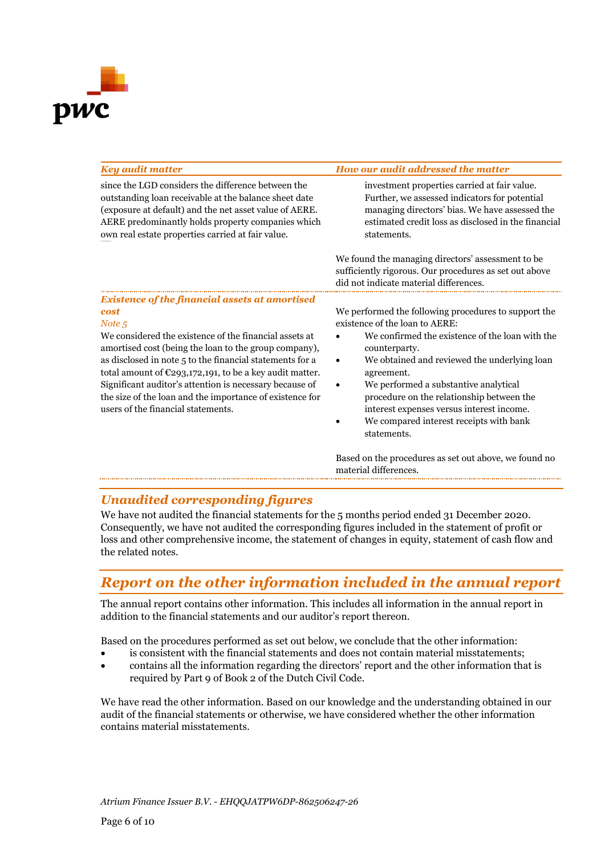

| <b>Key audit matter</b>                                                                                                                                                                                                                                                                                                                                                                                                                                                           | How our audit addressed the matter                                                                                                                                                                                                                                                                                                                                                                                                              |
|-----------------------------------------------------------------------------------------------------------------------------------------------------------------------------------------------------------------------------------------------------------------------------------------------------------------------------------------------------------------------------------------------------------------------------------------------------------------------------------|-------------------------------------------------------------------------------------------------------------------------------------------------------------------------------------------------------------------------------------------------------------------------------------------------------------------------------------------------------------------------------------------------------------------------------------------------|
| since the LGD considers the difference between the<br>outstanding loan receivable at the balance sheet date<br>(exposure at default) and the net asset value of AERE.<br>AERE predominantly holds property companies which<br>own real estate properties carried at fair value.                                                                                                                                                                                                   | investment properties carried at fair value.<br>Further, we assessed indicators for potential<br>managing directors' bias. We have assessed the<br>estimated credit loss as disclosed in the financial<br>statements.                                                                                                                                                                                                                           |
|                                                                                                                                                                                                                                                                                                                                                                                                                                                                                   | We found the managing directors' assessment to be.<br>sufficiently rigorous. Our procedures as set out above<br>did not indicate material differences.                                                                                                                                                                                                                                                                                          |
| Existence of the financial assets at amortised<br>cost<br>Note 5<br>We considered the existence of the financial assets at<br>amortised cost (being the loan to the group company),<br>as disclosed in note 5 to the financial statements for a<br>total amount of $\epsilon$ 293,172,191, to be a key audit matter.<br>Significant auditor's attention is necessary because of<br>the size of the loan and the importance of existence for<br>users of the financial statements. | We performed the following procedures to support the<br>existence of the loan to AERE:<br>We confirmed the existence of the loan with the<br>counterparty.<br>We obtained and reviewed the underlying loan<br>$\bullet$<br>agreement.<br>We performed a substantive analytical<br>$\bullet$<br>procedure on the relationship between the<br>interest expenses versus interest income.<br>We compared interest receipts with bank<br>statements. |

Based on the procedures as set out above, we found no material differences.

### *Unaudited corresponding figures*

We have not audited the financial statements for the 5 months period ended 31 December 2020. Consequently, we have not audited the corresponding figures included in the statement of profit or loss and other comprehensive income, the statement of changes in equity, statement of cash flow and the related notes.

# *Report on the other information included in the annual report*

The annual report contains other information. This includes all information in the annual report in addition to the financial statements and our auditor's report thereon.

Based on the procedures performed as set out below, we conclude that the other information:

- is consistent with the financial statements and does not contain material misstatements;
- contains all the information regarding the directors' report and the other information that is required by Part 9 of Book 2 of the Dutch Civil Code.

We have read the other information. Based on our knowledge and the understanding obtained in our audit of the financial statements or otherwise, we have considered whether the other information contains material misstatements.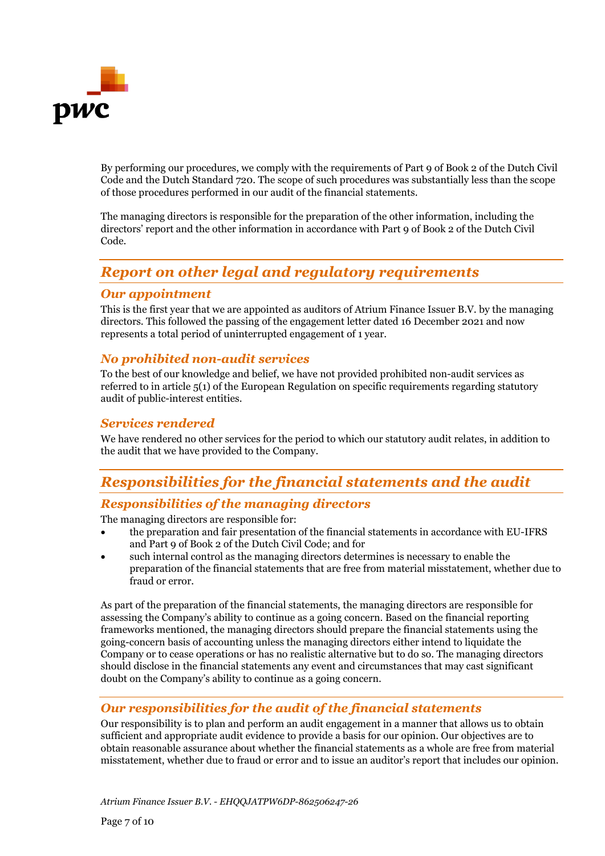

By performing our procedures, we comply with the requirements of Part 9 of Book 2 of the Dutch Civil Code and the Dutch Standard 720. The scope of such procedures was substantially less than the scope of those procedures performed in our audit of the financial statements.

The managing directors is responsible for the preparation of the other information, including the directors' report and the other information in accordance with Part 9 of Book 2 of the Dutch Civil Code.

# *Report on other legal and regulatory requirements*

#### *Our appointment*

This is the first year that we are appointed as auditors of Atrium Finance Issuer B.V. by the managing directors. This followed the passing of the engagement letter dated 16 December 2021 and now represents a total period of uninterrupted engagement of 1 year.

#### *No prohibited non-audit services*

To the best of our knowledge and belief, we have not provided prohibited non-audit services as referred to in article 5(1) of the European Regulation on specific requirements regarding statutory audit of public-interest entities.

#### *Services rendered*

We have rendered no other services for the period to which our statutory audit relates, in addition to the audit that we have provided to the Company.

# *Responsibilities for the financial statements and the audit*

### *Responsibilities of the managing directors*

The managing directors are responsible for:

- the preparation and fair presentation of the financial statements in accordance with EU-IFRS and Part 9 of Book 2 of the Dutch Civil Code; and for
- such internal control as the managing directors determines is necessary to enable the preparation of the financial statements that are free from material misstatement, whether due to fraud or error.

As part of the preparation of the financial statements, the managing directors are responsible for assessing the Company's ability to continue as a going concern. Based on the financial reporting frameworks mentioned, the managing directors should prepare the financial statements using the going-concern basis of accounting unless the managing directors either intend to liquidate the Company or to cease operations or has no realistic alternative but to do so. The managing directors should disclose in the financial statements any event and circumstances that may cast significant doubt on the Company's ability to continue as a going concern.

### *Our responsibilities for the audit of the financial statements*

Our responsibility is to plan and perform an audit engagement in a manner that allows us to obtain sufficient and appropriate audit evidence to provide a basis for our opinion. Our objectives are to obtain reasonable assurance about whether the financial statements as a whole are free from material misstatement, whether due to fraud or error and to issue an auditor's report that includes our opinion.

*Atrium Finance Issuer B.V. - EHQQJATPW6DP-862506247-26*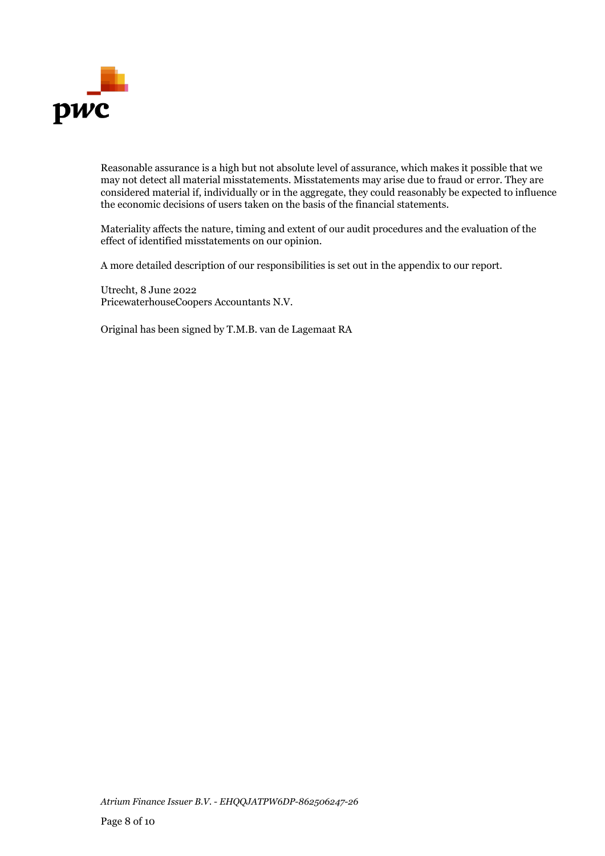

Reasonable assurance is a high but not absolute level of assurance, which makes it possible that we may not detect all material misstatements. Misstatements may arise due to fraud or error. They are considered material if, individually or in the aggregate, they could reasonably be expected to influence the economic decisions of users taken on the basis of the financial statements.

Materiality affects the nature, timing and extent of our audit procedures and the evaluation of the effect of identified misstatements on our opinion.

A more detailed description of our responsibilities is set out in the appendix to our report.

Utrecht, 8 June 2022 PricewaterhouseCoopers Accountants N.V.

Original has been signed by T.M.B. van de Lagemaat RA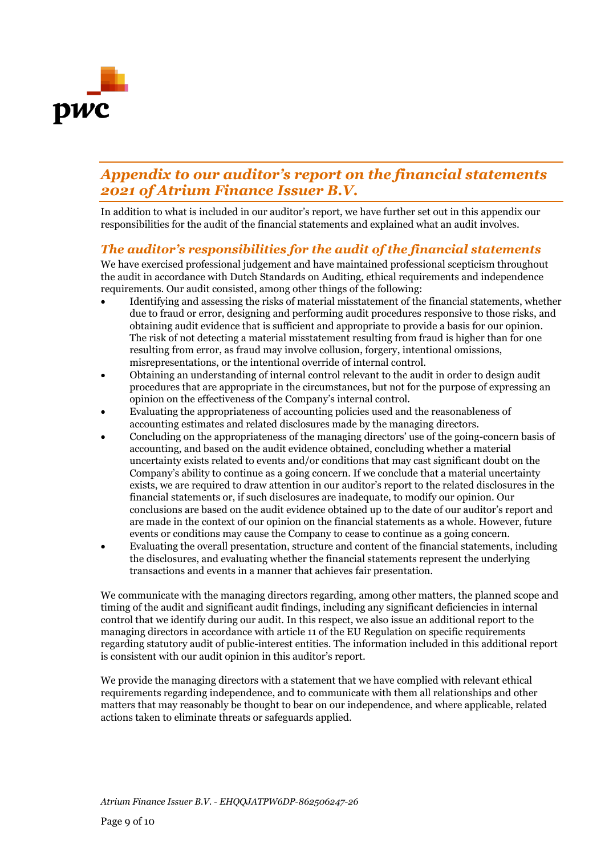

# *Appendix to our auditor's report on the financial statements 2021 of Atrium Finance Issuer B.V.*

In addition to what is included in our auditor's report, we have further set out in this appendix our responsibilities for the audit of the financial statements and explained what an audit involves.

### *The auditor's responsibilities for the audit of the financial statements*

We have exercised professional judgement and have maintained professional scepticism throughout the audit in accordance with Dutch Standards on Auditing, ethical requirements and independence requirements. Our audit consisted, among other things of the following:

- Identifying and assessing the risks of material misstatement of the financial statements, whether due to fraud or error, designing and performing audit procedures responsive to those risks, and obtaining audit evidence that is sufficient and appropriate to provide a basis for our opinion. The risk of not detecting a material misstatement resulting from fraud is higher than for one resulting from error, as fraud may involve collusion, forgery, intentional omissions, misrepresentations, or the intentional override of internal control.
- Obtaining an understanding of internal control relevant to the audit in order to design audit procedures that are appropriate in the circumstances, but not for the purpose of expressing an opinion on the effectiveness of the Company's internal control.
- Evaluating the appropriateness of accounting policies used and the reasonableness of accounting estimates and related disclosures made by the managing directors.
- Concluding on the appropriateness of the managing directors' use of the going-concern basis of accounting, and based on the audit evidence obtained, concluding whether a material uncertainty exists related to events and/or conditions that may cast significant doubt on the Company's ability to continue as a going concern. If we conclude that a material uncertainty exists, we are required to draw attention in our auditor's report to the related disclosures in the financial statements or, if such disclosures are inadequate, to modify our opinion. Our conclusions are based on the audit evidence obtained up to the date of our auditor's report and are made in the context of our opinion on the financial statements as a whole. However, future events or conditions may cause the Company to cease to continue as a going concern.
- Evaluating the overall presentation, structure and content of the financial statements, including the disclosures, and evaluating whether the financial statements represent the underlying transactions and events in a manner that achieves fair presentation.

We communicate with the managing directors regarding, among other matters, the planned scope and timing of the audit and significant audit findings, including any significant deficiencies in internal control that we identify during our audit. In this respect, we also issue an additional report to the managing directors in accordance with article 11 of the EU Regulation on specific requirements regarding statutory audit of public-interest entities. The information included in this additional report is consistent with our audit opinion in this auditor's report.

We provide the managing directors with a statement that we have complied with relevant ethical requirements regarding independence, and to communicate with them all relationships and other matters that may reasonably be thought to bear on our independence, and where applicable, related actions taken to eliminate threats or safeguards applied.